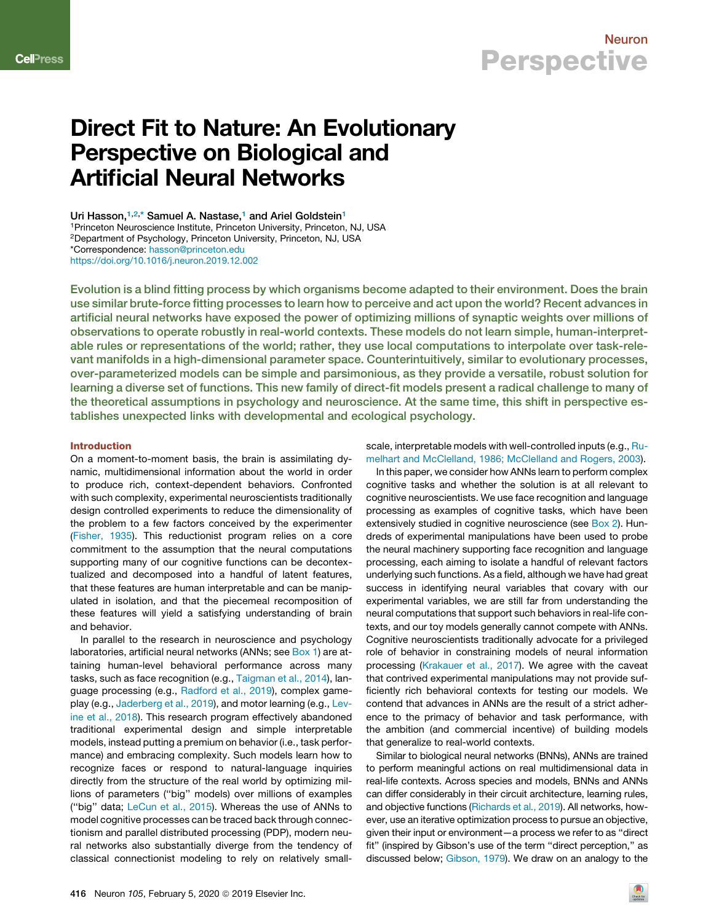

# Direct Fit to Nature: An Evolutionary Perspective on Biological and Artificial Neural Networks

Uri Hasson,<sup>1,2,\*</sup> Samuel A. Nastase,<sup>1</sup> and Ariel Goldstein<sup>1</sup> <sup>1</sup>Princeton Neuroscience Institute, Princeton University, Princeton, NJ, USA <sup>2</sup>Department of Psychology, Princeton University, Princeton, NJ, USA \*Correspondence: hasson@princeton.edu https://doi.org/10.1016/j.neuron.2019.12.002

Evolution is a blind fitting process by which organisms become adapted to their environment. Does the brain use similar brute-force fitting processes to learn how to perceive and act upon the world? Recent advances in artificial neural networks have exposed the power of optimizing millions of synaptic weights over millions of observations to operate robustly in real-world contexts. These models do not learn simple, human-interpretable rules or representations of the world; rather, they use local computations to interpolate over task-relevant manifolds in a high-dimensional parameter space. Counterintuitively, similar to evolutionary processes, over-parameterized models can be simple and parsimonious, as they provide a versatile, robust solution for learning a diverse set of functions. This new family of direct-fit models present a radical challenge to many of the theoretical assumptions in psychology and neuroscience. At the same time, this shift in perspective establishes unexpected links with developmental and ecological psychology.

### Introduction

On a moment-to-moment basis, the brain is assimilating dynamic, multidimensional information about the world in order to produce rich, context-dependent behaviors. Confronted with such complexity, experimental neuroscientists traditionally design controlled experiments to reduce the dimensionality of the problem to a few factors conceived by the experimenter (Fisher, 1935). This reductionist program relies on a core commitment to the assumption that the neural computations supporting many of our cognitive functions can be decontextualized and decomposed into a handful of latent features, that these features are human interpretable and can be manipulated in isolation, and that the piecemeal recomposition of these features will yield a satisfying understanding of brain and behavior.

In parallel to the research in neuroscience and psychology laboratories, artificial neural networks (ANNs; see Box 1) are attaining human-level behavioral performance across many tasks, such as face recognition (e.g., Taigman et al., 2014), language processing (e.g., Radford et al., 2019), complex gameplay (e.g., Jaderberg et al., 2019), and motor learning (e.g., Levine et al., 2018). This research program effectively abandoned traditional experimental design and simple interpretable models, instead putting a premium on behavior (i.e., task performance) and embracing complexity. Such models learn how to recognize faces or respond to natural-language inquiries directly from the structure of the real world by optimizing millions of parameters (''big'' models) over millions of examples (''big'' data; LeCun et al., 2015). Whereas the use of ANNs to model cognitive processes can be traced back through connectionism and parallel distributed processing (PDP), modern neural networks also substantially diverge from the tendency of classical connectionist modeling to rely on relatively smallscale, interpretable models with well-controlled inputs (e.g., Rumelhart and McClelland, 1986; McClelland and Rogers, 2003).

In this paper, we consider how ANNs learn to perform complex cognitive tasks and whether the solution is at all relevant to cognitive neuroscientists. We use face recognition and language processing as examples of cognitive tasks, which have been extensively studied in cognitive neuroscience (see Box 2). Hundreds of experimental manipulations have been used to probe the neural machinery supporting face recognition and language processing, each aiming to isolate a handful of relevant factors underlying such functions. As a field, although we have had great success in identifying neural variables that covary with our experimental variables, we are still far from understanding the neural computations that support such behaviors in real-life contexts, and our toy models generally cannot compete with ANNs. Cognitive neuroscientists traditionally advocate for a privileged role of behavior in constraining models of neural information processing (Krakauer et al., 2017). We agree with the caveat that contrived experimental manipulations may not provide sufficiently rich behavioral contexts for testing our models. We contend that advances in ANNs are the result of a strict adherence to the primacy of behavior and task performance, with the ambition (and commercial incentive) of building models that generalize to real-world contexts.

Similar to biological neural networks (BNNs), ANNs are trained to perform meaningful actions on real multidimensional data in real-life contexts. Across species and models, BNNs and ANNs can differ considerably in their circuit architecture, learning rules, and objective functions (Richards et al., 2019). All networks, however, use an iterative optimization process to pursue an objective, given their input or environment—a process we refer to as ''direct fit" (inspired by Gibson's use of the term "direct perception," as discussed below; Gibson, 1979). We draw on an analogy to the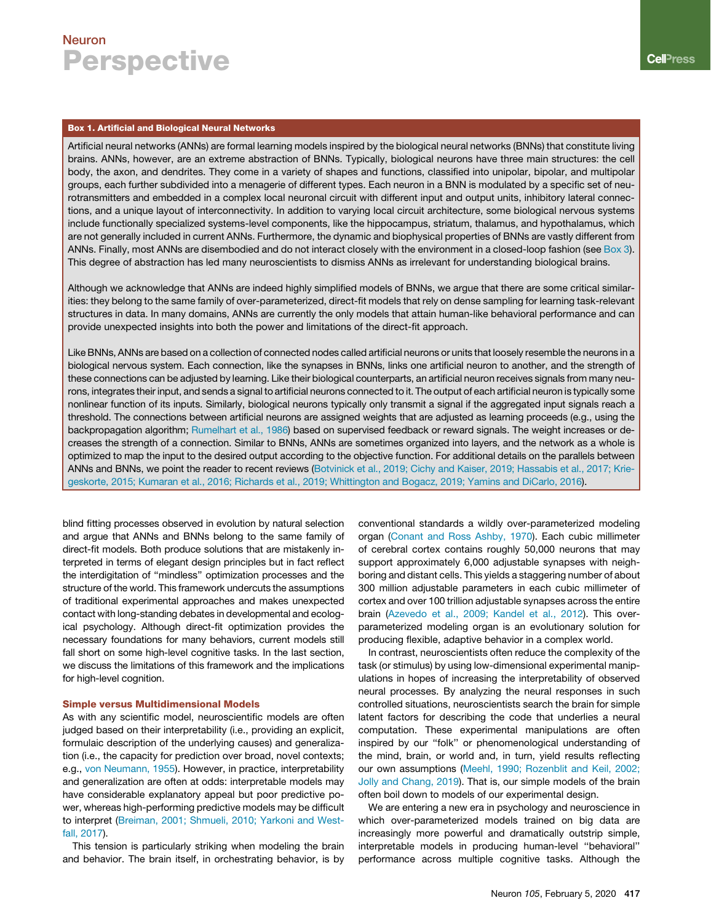### Box 1. Artificial and Biological Neural Networks

Artificial neural networks (ANNs) are formal learning models inspired by the biological neural networks (BNNs) that constitute living brains. ANNs, however, are an extreme abstraction of BNNs. Typically, biological neurons have three main structures: the cell body, the axon, and dendrites. They come in a variety of shapes and functions, classified into unipolar, bipolar, and multipolar groups, each further subdivided into a menagerie of different types. Each neuron in a BNN is modulated by a specific set of neurotransmitters and embedded in a complex local neuronal circuit with different input and output units, inhibitory lateral connections, and a unique layout of interconnectivity. In addition to varying local circuit architecture, some biological nervous systems include functionally specialized systems-level components, like the hippocampus, striatum, thalamus, and hypothalamus, which are not generally included in current ANNs. Furthermore, the dynamic and biophysical properties of BNNs are vastly different from ANNs. Finally, most ANNs are disembodied and do not interact closely with the environment in a closed-loop fashion (see Box 3). This degree of abstraction has led many neuroscientists to dismiss ANNs as irrelevant for understanding biological brains.

Although we acknowledge that ANNs are indeed highly simplified models of BNNs, we argue that there are some critical similarities: they belong to the same family of over-parameterized, direct-fit models that rely on dense sampling for learning task-relevant structures in data. In many domains, ANNs are currently the only models that attain human-like behavioral performance and can provide unexpected insights into both the power and limitations of the direct-fit approach.

Like BNNs, ANNs are based on a collection of connected nodes called artificial neurons or units that loosely resemble the neurons in a biological nervous system. Each connection, like the synapses in BNNs, links one artificial neuron to another, and the strength of these connections can be adjusted by learning. Like their biological counterparts, an artificial neuron receives signals from many neurons, integrates their input, and sends a signal to artificial neurons connected to it. The output of each artificial neuron is typically some nonlinear function of its inputs. Similarly, biological neurons typically only transmit a signal if the aggregated input signals reach a threshold. The connections between artificial neurons are assigned weights that are adjusted as learning proceeds (e.g., using the backpropagation algorithm; Rumelhart et al., 1986) based on supervised feedback or reward signals. The weight increases or decreases the strength of a connection. Similar to BNNs, ANNs are sometimes organized into layers, and the network as a whole is optimized to map the input to the desired output according to the objective function. For additional details on the parallels between ANNs and BNNs, we point the reader to recent reviews (Botvinick et al., 2019; Cichy and Kaiser, 2019; Hassabis et al., 2017; Kriegeskorte, 2015; Kumaran et al., 2016; Richards et al., 2019; Whittington and Bogacz, 2019; Yamins and DiCarlo, 2016).

blind fitting processes observed in evolution by natural selection and argue that ANNs and BNNs belong to the same family of direct-fit models. Both produce solutions that are mistakenly interpreted in terms of elegant design principles but in fact reflect the interdigitation of ''mindless'' optimization processes and the structure of the world. This framework undercuts the assumptions of traditional experimental approaches and makes unexpected contact with long-standing debates in developmental and ecological psychology. Although direct-fit optimization provides the necessary foundations for many behaviors, current models still fall short on some high-level cognitive tasks. In the last section, we discuss the limitations of this framework and the implications for high-level cognition.

### Simple versus Multidimensional Models

As with any scientific model, neuroscientific models are often judged based on their interpretability (i.e., providing an explicit, formulaic description of the underlying causes) and generalization (i.e., the capacity for prediction over broad, novel contexts; e.g., von Neumann, 1955). However, in practice, interpretability and generalization are often at odds: interpretable models may have considerable explanatory appeal but poor predictive power, whereas high-performing predictive models may be difficult to interpret (Breiman, 2001; Shmueli, 2010; Yarkoni and Westfall, 2017).

This tension is particularly striking when modeling the brain and behavior. The brain itself, in orchestrating behavior, is by conventional standards a wildly over-parameterized modeling organ (Conant and Ross Ashby, 1970). Each cubic millimeter of cerebral cortex contains roughly 50,000 neurons that may support approximately 6,000 adjustable synapses with neighboring and distant cells. This yields a staggering number of about 300 million adjustable parameters in each cubic millimeter of cortex and over 100 trillion adjustable synapses across the entire brain (Azevedo et al., 2009; Kandel et al., 2012). This overparameterized modeling organ is an evolutionary solution for producing flexible, adaptive behavior in a complex world.

In contrast, neuroscientists often reduce the complexity of the task (or stimulus) by using low-dimensional experimental manipulations in hopes of increasing the interpretability of observed neural processes. By analyzing the neural responses in such controlled situations, neuroscientists search the brain for simple latent factors for describing the code that underlies a neural computation. These experimental manipulations are often inspired by our ''folk'' or phenomenological understanding of the mind, brain, or world and, in turn, yield results reflecting our own assumptions (Meehl, 1990; Rozenblit and Keil, 2002; Jolly and Chang, 2019). That is, our simple models of the brain often boil down to models of our experimental design.

We are entering a new era in psychology and neuroscience in which over-parameterized models trained on big data are increasingly more powerful and dramatically outstrip simple, interpretable models in producing human-level ''behavioral'' performance across multiple cognitive tasks. Although the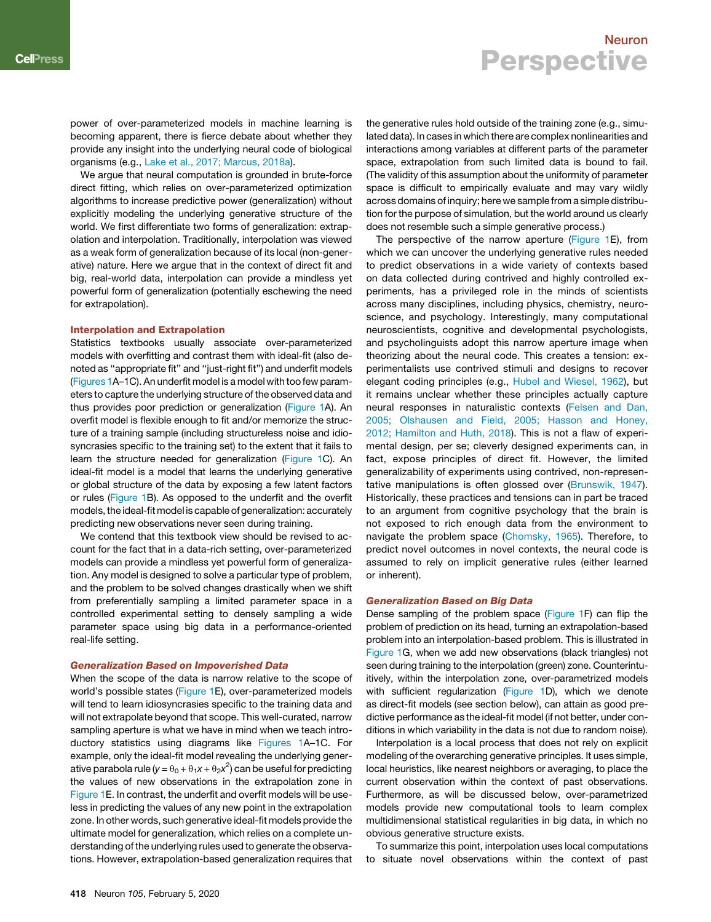power of over-parameterized models in machine learning is becoming apparent, there is fierce debate about whether they provide any insight into the underlying neural code of biological organisms (e.g., Lake et al., 2017; Marcus, 2018a).

We argue that neural computation is grounded in brute-force direct fitting, which relies on over-parameterized optimization algorithms to increase predictive power (generalization) without explicitly modeling the underlying generative structure of the world. We first differentiate two forms of generalization: extrapolation and interpolation. Traditionally, interpolation was viewed as a weak form of generalization because of its local (non-generative) nature. Here we argue that in the context of direct fit and big, real-world data, interpolation can provide a mindless yet powerful form of generalization (potentially eschewing the need for extrapolation).

#### Interpolation and Extrapolation

Statistics textbooks usually associate over-parameterized models with overfitting and contrast them with ideal-fit (also denoted as ''appropriate fit'' and ''just-right fit'') and underfit models (Figures 1A–1C). An underfit model is a model with too few parameters to capture the underlying structure of the observed data and thus provides poor prediction or generalization (Figure 1A). An overfit model is flexible enough to fit and/or memorize the structure of a training sample (including structureless noise and idiosyncrasies specific to the training set) to the extent that it fails to learn the structure needed for generalization (Figure 1C). An ideal-fit model is a model that learns the underlying generative or global structure of the data by exposing a few latent factors or rules (Figure 1B). As opposed to the underfit and the overfit models, the ideal-fitmodel is capable of generalization: accurately predicting new observations never seen during training.

We contend that this textbook view should be revised to account for the fact that in a data-rich setting, over-parameterized models can provide a mindless yet powerful form of generalization. Any model is designed to solve a particular type of problem, and the problem to be solved changes drastically when we shift from preferentially sampling a limited parameter space in a controlled experimental setting to densely sampling a wide parameter space using big data in a performance-oriented real-life setting.

#### Generalization Based on Impoverished Data

When the scope of the data is narrow relative to the scope of world's possible states (Figure 1E), over-parameterized models will tend to learn idiosyncrasies specific to the training data and will not extrapolate beyond that scope. This well-curated, narrow sampling aperture is what we have in mind when we teach introductory statistics using diagrams like Figures 1A–1C. For example, only the ideal-fit model revealing the underlying generative parabola rule ( $y = \theta_0 + \theta_1 x + \theta_2 x^2$ ) can be useful for predicting the values of new observations in the extrapolation zone in Figure 1E. In contrast, the underfit and overfit models will be useless in predicting the values of any new point in the extrapolation zone. In other words, such generative ideal-fit models provide the ultimate model for generalization, which relies on a complete understanding of the underlying rules used to generate the observations. However, extrapolation-based generalization requires that

the generative rules hold outside of the training zone (e.g., simulated data). In cases in which there are complex nonlinearities and interactions among variables at different parts of the parameter space, extrapolation from such limited data is bound to fail. (The validity of this assumption about the uniformity of parameter space is difficult to empirically evaluate and may vary wildly across domains of inquiry; here we sample from a simple distribution for the purpose of simulation, but the world around us clearly does not resemble such a simple generative process.)

The perspective of the narrow aperture (Figure 1E), from which we can uncover the underlying generative rules needed to predict observations in a wide variety of contexts based on data collected during contrived and highly controlled experiments, has a privileged role in the minds of scientists across many disciplines, including physics, chemistry, neuroscience, and psychology. Interestingly, many computational neuroscientists, cognitive and developmental psychologists, and psycholinguists adopt this narrow aperture image when theorizing about the neural code. This creates a tension: experimentalists use contrived stimuli and designs to recover elegant coding principles (e.g., Hubel and Wiesel, 1962), but it remains unclear whether these principles actually capture neural responses in naturalistic contexts (Felsen and Dan, 2005; Olshausen and Field, 2005; Hasson and Honey, 2012; Hamilton and Huth, 2018). This is not a flaw of experimental design, per se; cleverly designed experiments can, in fact, expose principles of direct fit. However, the limited generalizability of experiments using contrived, non-representative manipulations is often glossed over (Brunswik, 1947). Historically, these practices and tensions can in part be traced to an argument from cognitive psychology that the brain is not exposed to rich enough data from the environment to navigate the problem space (Chomsky, 1965). Therefore, to predict novel outcomes in novel contexts, the neural code is assumed to rely on implicit generative rules (either learned or inherent).

#### Generalization Based on Big Data

Dense sampling of the problem space (Figure 1F) can flip the problem of prediction on its head, turning an extrapolation-based problem into an interpolation-based problem. This is illustrated in Figure 1G, when we add new observations (black triangles) not seen during training to the interpolation (green) zone. Counterintuitively, within the interpolation zone, over-parametrized models with sufficient regularization (Figure 1D), which we denote as direct-fit models (see section below), can attain as good predictive performance as the ideal-fit model (if not better, under conditions in which variability in the data is not due to random noise).

Interpolation is a local process that does not rely on explicit modeling of the overarching generative principles. It uses simple, local heuristics, like nearest neighbors or averaging, to place the current observation within the context of past observations. Furthermore, as will be discussed below, over-parametrized models provide new computational tools to learn complex multidimensional statistical regularities in big data, in which no obvious generative structure exists.

To summarize this point, interpolation uses local computations to situate novel observations within the context of past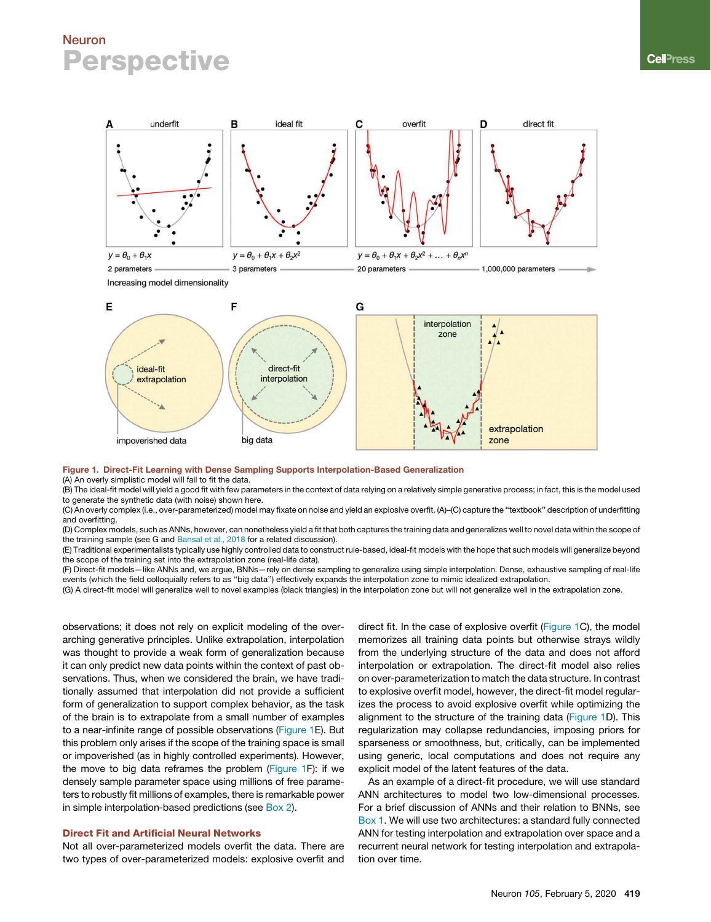

Figure 1. Direct-Fit Learning with Dense Sampling Supports Interpolation-Based Generalization

big data

direct-fit

interpolation

(A) An overly simplistic model will fail to fit the data.

impoverished data

ideal-fit

extrapolation

(B) The ideal-fit model will yield a good fit with few parameters in the context of data relying on a relatively simple generative process; in fact, this is the model used to generate the synthetic data (with noise) shown here.

(C) An overly complex (i.e., over-parameterized) model may fixate on noise and yield an explosive overfit. (A)–(C) capture the ''textbook'' description of underfitting and overfitting.

(D) Complex models, such as ANNs, however, can nonetheless yield a fit that both captures the training data and generalizes well to novel data within the scope of the training sample (see G and Bansal et al., 2018 for a related discussion).

(E) Traditional experimentalists typically use highly controlled data to construct rule-based, ideal-fit models with the hope that such models will generalize beyond the scope of the training set into the extrapolation zone (real-life data).

(F) Direct-fit models—like ANNs and, we argue, BNNs—rely on dense sampling to generalize using simple interpolation. Dense, exhaustive sampling of real-life events (which the field colloquially refers to as ''big data'') effectively expands the interpolation zone to mimic idealized extrapolation.

(G) A direct-fit model will generalize well to novel examples (black triangles) in the interpolation zone but will not generalize well in the extrapolation zone.

observations; it does not rely on explicit modeling of the overarching generative principles. Unlike extrapolation, interpolation was thought to provide a weak form of generalization because it can only predict new data points within the context of past observations. Thus, when we considered the brain, we have traditionally assumed that interpolation did not provide a sufficient form of generalization to support complex behavior, as the task of the brain is to extrapolate from a small number of examples to a near-infinite range of possible observations (Figure 1E). But this problem only arises if the scope of the training space is small or impoverished (as in highly controlled experiments). However, the move to big data reframes the problem (Figure 1F): if we densely sample parameter space using millions of free parameters to robustly fit millions of examples, there is remarkable power in simple interpolation-based predictions (see Box 2).

## Direct Fit and Artificial Neural Networks

Not all over-parameterized models overfit the data. There are two types of over-parameterized models: explosive overfit and direct fit. In the case of explosive overfit (Figure 1C), the model memorizes all training data points but otherwise strays wildly from the underlying structure of the data and does not afford interpolation or extrapolation. The direct-fit model also relies on over-parameterization to match the data structure. In contrast to explosive overfit model, however, the direct-fit model regularizes the process to avoid explosive overfit while optimizing the alignment to the structure of the training data (Figure 1D). This regularization may collapse redundancies, imposing priors for sparseness or smoothness, but, critically, can be implemented using generic, local computations and does not require any explicit model of the latent features of the data.

extrapolation

zone

As an example of a direct-fit procedure, we will use standard ANN architectures to model two low-dimensional processes. For a brief discussion of ANNs and their relation to BNNs, see Box 1. We will use two architectures: a standard fully connected ANN for testing interpolation and extrapolation over space and a recurrent neural network for testing interpolation and extrapolation over time.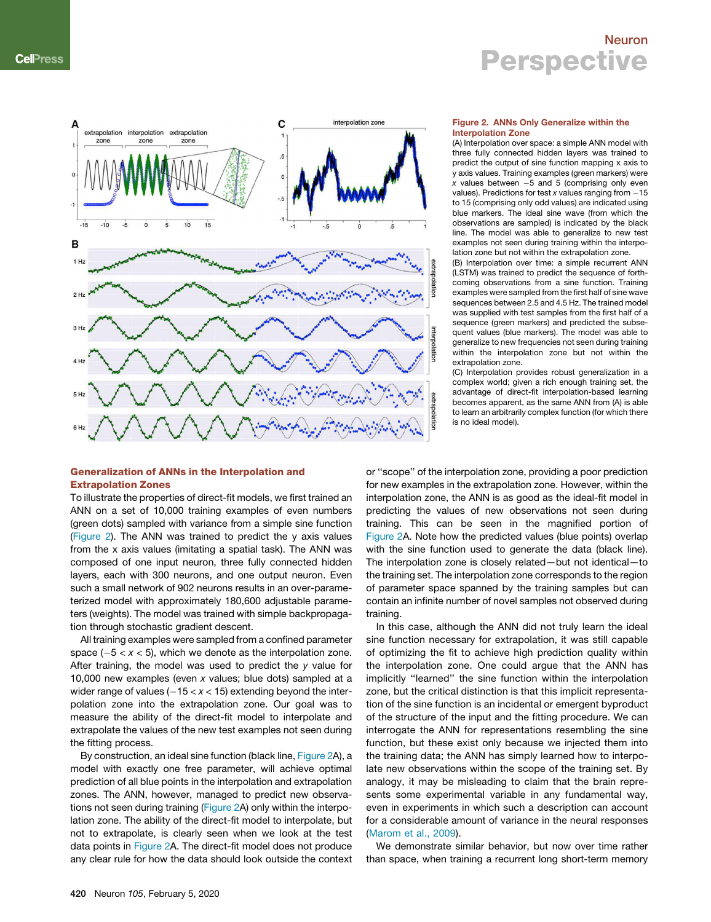

#### Figure 2. ANNs Only Generalize within the Interpolation Zone

(A) Interpolation over space: a simple ANN model with three fully connected hidden layers was trained to predict the output of sine function mapping x axis to y axis values. Training examples (green markers) were  $x$  values between  $-5$  and 5 (comprising only even values). Predictions for test  $x$  values ranging from  $-15$ to 15 (comprising only odd values) are indicated using blue markers. The ideal sine wave (from which the observations are sampled) is indicated by the black line. The model was able to generalize to new test examples not seen during training within the interpolation zone but not within the extrapolation zone.

(B) Interpolation over time: a simple recurrent ANN (LSTM) was trained to predict the sequence of forthcoming observations from a sine function. Training examples were sampled from the first half of sine wave sequences between 2.5 and 4.5 Hz. The trained model was supplied with test samples from the first half of a sequence (green markers) and predicted the subsequent values (blue markers). The model was able to generalize to new frequencies not seen during training within the interpolation zone but not within the extrapolation zone.

(C) Interpolation provides robust generalization in a complex world; given a rich enough training set, the advantage of direct-fit interpolation-based learning becomes apparent, as the same ANN from (A) is able to learn an arbitrarily complex function (for which there is no ideal model).

## Generalization of ANNs in the Interpolation and Extrapolation Zones

To illustrate the properties of direct-fit models, we first trained an ANN on a set of 10,000 training examples of even numbers (green dots) sampled with variance from a simple sine function (Figure 2). The ANN was trained to predict the y axis values from the x axis values (imitating a spatial task). The ANN was composed of one input neuron, three fully connected hidden layers, each with 300 neurons, and one output neuron. Even such a small network of 902 neurons results in an over-parameterized model with approximately 180,600 adjustable parameters (weights). The model was trained with simple backpropagation through stochastic gradient descent.

All training examples were sampled from a confined parameter space  $(-5 < x < 5)$ , which we denote as the interpolation zone. After training, the model was used to predict the *y* value for 10,000 new examples (even *x* values; blue dots) sampled at a wider range of values  $(-15 < x < 15)$  extending beyond the interpolation zone into the extrapolation zone. Our goal was to measure the ability of the direct-fit model to interpolate and extrapolate the values of the new test examples not seen during the fitting process.

By construction, an ideal sine function (black line, Figure 2A), a model with exactly one free parameter, will achieve optimal prediction of all blue points in the interpolation and extrapolation zones. The ANN, however, managed to predict new observations not seen during training (Figure 2A) only within the interpolation zone. The ability of the direct-fit model to interpolate, but not to extrapolate, is clearly seen when we look at the test data points in Figure 2A. The direct-fit model does not produce any clear rule for how the data should look outside the context or ''scope'' of the interpolation zone, providing a poor prediction for new examples in the extrapolation zone. However, within the interpolation zone, the ANN is as good as the ideal-fit model in predicting the values of new observations not seen during training. This can be seen in the magnified portion of Figure 2A. Note how the predicted values (blue points) overlap with the sine function used to generate the data (black line). The interpolation zone is closely related—but not identical—to the training set. The interpolation zone corresponds to the region of parameter space spanned by the training samples but can contain an infinite number of novel samples not observed during training.

In this case, although the ANN did not truly learn the ideal sine function necessary for extrapolation, it was still capable of optimizing the fit to achieve high prediction quality within the interpolation zone. One could argue that the ANN has implicitly ''learned'' the sine function within the interpolation zone, but the critical distinction is that this implicit representation of the sine function is an incidental or emergent byproduct of the structure of the input and the fitting procedure. We can interrogate the ANN for representations resembling the sine function, but these exist only because we injected them into the training data; the ANN has simply learned how to interpolate new observations within the scope of the training set. By analogy, it may be misleading to claim that the brain represents some experimental variable in any fundamental way, even in experiments in which such a description can account for a considerable amount of variance in the neural responses (Marom et al., 2009).

We demonstrate similar behavior, but now over time rather than space, when training a recurrent long short-term memory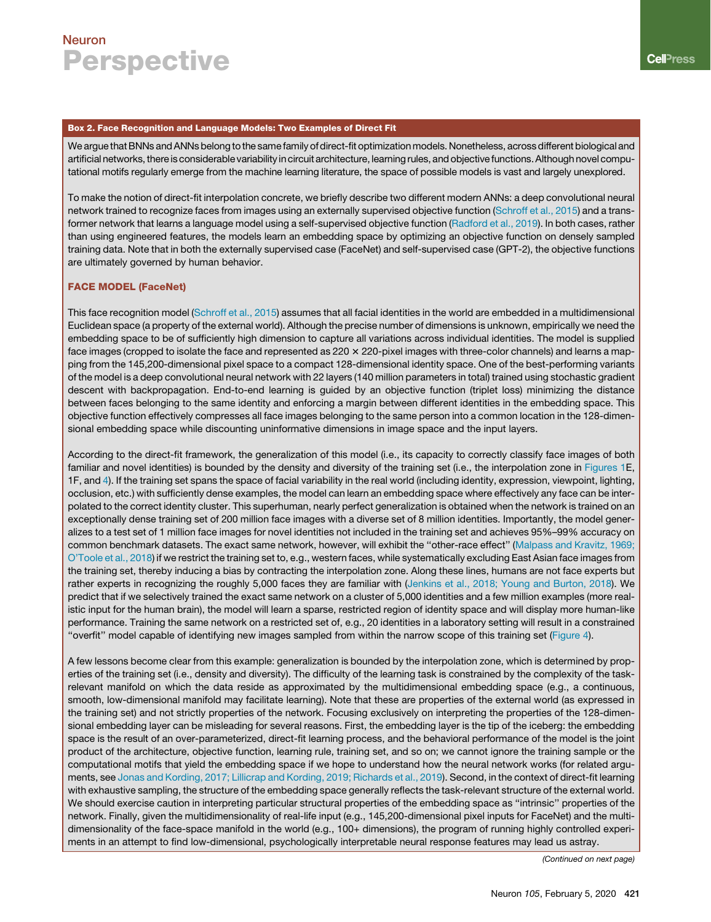## Box 2. Face Recognition and Language Models: Two Examples of Direct Fit

We argue that BNNs and ANNs belong to the same family of direct-fit optimization models. Nonetheless, across different biological and artificial networks, there is considerable variability in circuit architecture, learning rules, and objectivefunctions. Although novel computational motifs regularly emerge from the machine learning literature, the space of possible models is vast and largely unexplored.

To make the notion of direct-fit interpolation concrete, we briefly describe two different modern ANNs: a deep convolutional neural network trained to recognize faces from images using an externally supervised objective function (Schroff et al., 2015) and a transformer network that learns a language model using a self-supervised objective function (Radford et al., 2019). In both cases, rather than using engineered features, the models learn an embedding space by optimizing an objective function on densely sampled training data. Note that in both the externally supervised case (FaceNet) and self-supervised case (GPT-2), the objective functions are ultimately governed by human behavior.

## FACE MODEL (FaceNet)

This face recognition model (Schroff et al., 2015) assumes that all facial identities in the world are embedded in a multidimensional Euclidean space (a property of the external world). Although the precise number of dimensions is unknown, empirically we need the embedding space to be of sufficiently high dimension to capture all variations across individual identities. The model is supplied face images (cropped to isolate the face and represented as 220 x 220-pixel images with three-color channels) and learns a mapping from the 145,200-dimensional pixel space to a compact 128-dimensional identity space. One of the best-performing variants of the model is a deep convolutional neural network with 22 layers (140 million parameters in total) trained using stochastic gradient descent with backpropagation. End-to-end learning is guided by an objective function (triplet loss) minimizing the distance between faces belonging to the same identity and enforcing a margin between different identities in the embedding space. This objective function effectively compresses all face images belonging to the same person into a common location in the 128-dimensional embedding space while discounting uninformative dimensions in image space and the input layers.

According to the direct-fit framework, the generalization of this model (i.e., its capacity to correctly classify face images of both familiar and novel identities) is bounded by the density and diversity of the training set (i.e., the interpolation zone in Figures 1E, 1F, and 4). If the training set spans the space of facial variability in the real world (including identity, expression, viewpoint, lighting, occlusion, etc.) with sufficiently dense examples, the model can learn an embedding space where effectively any face can be interpolated to the correct identity cluster. This superhuman, nearly perfect generalization is obtained when the network is trained on an exceptionally dense training set of 200 million face images with a diverse set of 8 million identities. Importantly, the model generalizes to a test set of 1 million face images for novel identities not included in the training set and achieves 95%–99% accuracy on common benchmark datasets. The exact same network, however, will exhibit the ''other-race effect'' (Malpass and Kravitz, 1969; O'Toole et al., 2018) if we restrict the training set to, e.g., western faces, while systematically excluding East Asian face images from the training set, thereby inducing a bias by contracting the interpolation zone. Along these lines, humans are not face experts but rather experts in recognizing the roughly 5,000 faces they are familiar with (Jenkins et al., 2018; Young and Burton, 2018). We predict that if we selectively trained the exact same network on a cluster of 5,000 identities and a few million examples (more realistic input for the human brain), the model will learn a sparse, restricted region of identity space and will display more human-like performance. Training the same network on a restricted set of, e.g., 20 identities in a laboratory setting will result in a constrained ''overfit'' model capable of identifying new images sampled from within the narrow scope of this training set (Figure 4).

A few lessons become clear from this example: generalization is bounded by the interpolation zone, which is determined by properties of the training set (i.e., density and diversity). The difficulty of the learning task is constrained by the complexity of the taskrelevant manifold on which the data reside as approximated by the multidimensional embedding space (e.g., a continuous, smooth, low-dimensional manifold may facilitate learning). Note that these are properties of the external world (as expressed in the training set) and not strictly properties of the network. Focusing exclusively on interpreting the properties of the 128-dimensional embedding layer can be misleading for several reasons. First, the embedding layer is the tip of the iceberg: the embedding space is the result of an over-parameterized, direct-fit learning process, and the behavioral performance of the model is the joint product of the architecture, objective function, learning rule, training set, and so on; we cannot ignore the training sample or the computational motifs that yield the embedding space if we hope to understand how the neural network works (for related arguments, see Jonas and Kording, 2017; Lillicrap and Kording, 2019; Richards et al., 2019). Second, in the context of direct-fit learning with exhaustive sampling, the structure of the embedding space generally reflects the task-relevant structure of the external world. We should exercise caution in interpreting particular structural properties of the embedding space as ''intrinsic'' properties of the network. Finally, given the multidimensionality of real-life input (e.g., 145,200-dimensional pixel inputs for FaceNet) and the multidimensionality of the face-space manifold in the world (e.g., 100+ dimensions), the program of running highly controlled experiments in an attempt to find low-dimensional, psychologically interpretable neural response features may lead us astray.

*(Continued on next page)*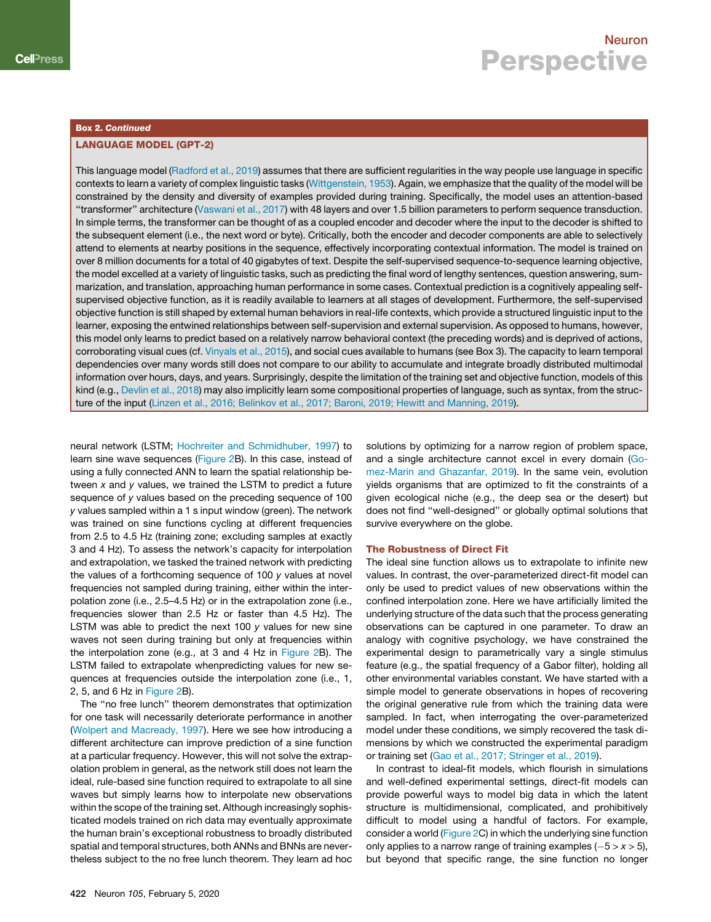### Box 2. Continued

## LANGUAGE MODEL (GPT-2)

This language model (Radford et al., 2019) assumes that there are sufficient regularities in the way people use language in specific contexts to learn a variety of complex linguistic tasks (Wittgenstein, 1953). Again, we emphasize that the quality of the model will be constrained by the density and diversity of examples provided during training. Specifically, the model uses an attention-based ''transformer'' architecture (Vaswani et al., 2017) with 48 layers and over 1.5 billion parameters to perform sequence transduction. In simple terms, the transformer can be thought of as a coupled encoder and decoder where the input to the decoder is shifted to the subsequent element (i.e., the next word or byte). Critically, both the encoder and decoder components are able to selectively attend to elements at nearby positions in the sequence, effectively incorporating contextual information. The model is trained on over 8 million documents for a total of 40 gigabytes of text. Despite the self-supervised sequence-to-sequence learning objective, the model excelled at a variety of linguistic tasks, such as predicting the final word of lengthy sentences, question answering, summarization, and translation, approaching human performance in some cases. Contextual prediction is a cognitively appealing selfsupervised objective function, as it is readily available to learners at all stages of development. Furthermore, the self-supervised objective function is still shaped by external human behaviors in real-life contexts, which provide a structured linguistic input to the learner, exposing the entwined relationships between self-supervision and external supervision. As opposed to humans, however, this model only learns to predict based on a relatively narrow behavioral context (the preceding words) and is deprived of actions, corroborating visual cues (cf. Vinyals et al., 2015), and social cues available to humans (see Box 3). The capacity to learn temporal dependencies over many words still does not compare to our ability to accumulate and integrate broadly distributed multimodal information over hours, days, and years. Surprisingly, despite the limitation of the training set and objective function, models of this kind (e.g., Devlin et al., 2018) may also implicitly learn some compositional properties of language, such as syntax, from the structure of the input (Linzen et al., 2016; Belinkov et al., 2017; Baroni, 2019; Hewitt and Manning, 2019).

neural network (LSTM; Hochreiter and Schmidhuber, 1997) to learn sine wave sequences (Figure 2B). In this case, instead of using a fully connected ANN to learn the spatial relationship between *x* and *y* values, we trained the LSTM to predict a future sequence of *y* values based on the preceding sequence of 100 *y* values sampled within a 1 s input window (green). The network was trained on sine functions cycling at different frequencies from 2.5 to 4.5 Hz (training zone; excluding samples at exactly 3 and 4 Hz). To assess the network's capacity for interpolation and extrapolation, we tasked the trained network with predicting the values of a forthcoming sequence of 100 *y* values at novel frequencies not sampled during training, either within the interpolation zone (i.e., 2.5–4.5 Hz) or in the extrapolation zone (i.e., frequencies slower than 2.5 Hz or faster than 4.5 Hz). The LSTM was able to predict the next 100 *y* values for new sine waves not seen during training but only at frequencies within the interpolation zone (e.g., at 3 and 4 Hz in Figure 2B). The LSTM failed to extrapolate whenpredicting values for new sequences at frequencies outside the interpolation zone (i.e., 1, 2, 5, and 6 Hz in Figure 2B).

The ''no free lunch'' theorem demonstrates that optimization for one task will necessarily deteriorate performance in another (Wolpert and Macready, 1997). Here we see how introducing a different architecture can improve prediction of a sine function at a particular frequency. However, this will not solve the extrapolation problem in general, as the network still does not learn the ideal, rule-based sine function required to extrapolate to all sine waves but simply learns how to interpolate new observations within the scope of the training set. Although increasingly sophisticated models trained on rich data may eventually approximate the human brain's exceptional robustness to broadly distributed spatial and temporal structures, both ANNs and BNNs are nevertheless subject to the no free lunch theorem. They learn ad hoc

solutions by optimizing for a narrow region of problem space, and a single architecture cannot excel in every domain (Gomez-Marin and Ghazanfar, 2019). In the same vein, evolution yields organisms that are optimized to fit the constraints of a given ecological niche (e.g., the deep sea or the desert) but does not find ''well-designed'' or globally optimal solutions that survive everywhere on the globe.

#### The Robustness of Direct Fit

The ideal sine function allows us to extrapolate to infinite new values. In contrast, the over-parameterized direct-fit model can only be used to predict values of new observations within the confined interpolation zone. Here we have artificially limited the underlying structure of the data such that the process generating observations can be captured in one parameter. To draw an analogy with cognitive psychology, we have constrained the experimental design to parametrically vary a single stimulus feature (e.g., the spatial frequency of a Gabor filter), holding all other environmental variables constant. We have started with a simple model to generate observations in hopes of recovering the original generative rule from which the training data were sampled. In fact, when interrogating the over-parameterized model under these conditions, we simply recovered the task dimensions by which we constructed the experimental paradigm or training set (Gao et al., 2017; Stringer et al., 2019).

In contrast to ideal-fit models, which flourish in simulations and well-defined experimental settings, direct-fit models can provide powerful ways to model big data in which the latent structure is multidimensional, complicated, and prohibitively difficult to model using a handful of factors. For example, consider a world (Figure 2C) in which the underlying sine function only applies to a narrow range of training examples  $(-5 > x > 5)$ , but beyond that specific range, the sine function no longer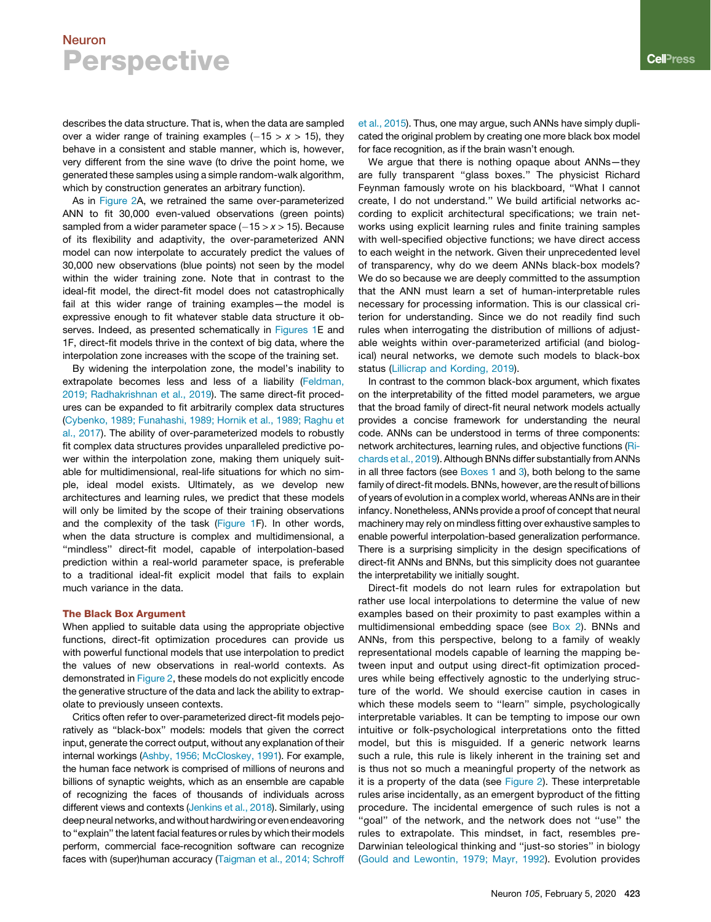describes the data structure. That is, when the data are sampled over a wider range of training examples  $(-15 > x > 15)$ , they behave in a consistent and stable manner, which is, however, very different from the sine wave (to drive the point home, we generated these samples using a simple random-walk algorithm, which by construction generates an arbitrary function).

As in Figure 2A, we retrained the same over-parameterized ANN to fit 30,000 even-valued observations (green points) sampled from a wider parameter space  $(-15 > x > 15)$ . Because of its flexibility and adaptivity, the over-parameterized ANN model can now interpolate to accurately predict the values of 30,000 new observations (blue points) not seen by the model within the wider training zone. Note that in contrast to the ideal-fit model, the direct-fit model does not catastrophically fail at this wider range of training examples—the model is expressive enough to fit whatever stable data structure it observes. Indeed, as presented schematically in Figures 1E and 1F, direct-fit models thrive in the context of big data, where the interpolation zone increases with the scope of the training set.

By widening the interpolation zone, the model's inability to extrapolate becomes less and less of a liability (Feldman, 2019; Radhakrishnan et al., 2019). The same direct-fit procedures can be expanded to fit arbitrarily complex data structures (Cybenko, 1989; Funahashi, 1989; Hornik et al., 1989; Raghu et al., 2017). The ability of over-parameterized models to robustly fit complex data structures provides unparalleled predictive power within the interpolation zone, making them uniquely suitable for multidimensional, real-life situations for which no simple, ideal model exists. Ultimately, as we develop new architectures and learning rules, we predict that these models will only be limited by the scope of their training observations and the complexity of the task (Figure 1F). In other words, when the data structure is complex and multidimensional, a "mindless" direct-fit model, capable of interpolation-based prediction within a real-world parameter space, is preferable to a traditional ideal-fit explicit model that fails to explain much variance in the data.

### The Black Box Argument

When applied to suitable data using the appropriate objective functions, direct-fit optimization procedures can provide us with powerful functional models that use interpolation to predict the values of new observations in real-world contexts. As demonstrated in Figure 2, these models do not explicitly encode the generative structure of the data and lack the ability to extrapolate to previously unseen contexts.

Critics often refer to over-parameterized direct-fit models pejoratively as ''black-box'' models: models that given the correct input, generate the correct output, without any explanation of their internal workings (Ashby, 1956; McCloskey, 1991). For example, the human face network is comprised of millions of neurons and billions of synaptic weights, which as an ensemble are capable of recognizing the faces of thousands of individuals across different views and contexts (Jenkins et al., 2018). Similarly, using deep neural networks, and without hardwiring or even endeavoring to ''explain'' the latent facial features or rules by which their models perform, commercial face-recognition software can recognize faces with (super)human accuracy (Taigman et al., 2014; Schroff et al., 2015). Thus, one may argue, such ANNs have simply duplicated the original problem by creating one more black box model for face recognition, as if the brain wasn't enough.

We argue that there is nothing opaque about ANNs—they are fully transparent ''glass boxes.'' The physicist Richard Feynman famously wrote on his blackboard, ''What I cannot create, I do not understand.'' We build artificial networks according to explicit architectural specifications; we train networks using explicit learning rules and finite training samples with well-specified objective functions; we have direct access to each weight in the network. Given their unprecedented level of transparency, why do we deem ANNs black-box models? We do so because we are deeply committed to the assumption that the ANN must learn a set of human-interpretable rules necessary for processing information. This is our classical criterion for understanding. Since we do not readily find such rules when interrogating the distribution of millions of adjustable weights within over-parameterized artificial (and biological) neural networks, we demote such models to black-box status (Lillicrap and Kording, 2019).

In contrast to the common black-box argument, which fixates on the interpretability of the fitted model parameters, we argue that the broad family of direct-fit neural network models actually provides a concise framework for understanding the neural code. ANNs can be understood in terms of three components: network architectures, learning rules, and objective functions (Richards et al., 2019). Although BNNs differ substantially from ANNs in all three factors (see Boxes 1 and 3), both belong to the same family of direct-fit models. BNNs, however, are the result of billions of years of evolution in a complex world, whereas ANNs are in their infancy. Nonetheless, ANNs provide a proof of concept that neural machinery may rely on mindless fitting over exhaustive samples to enable powerful interpolation-based generalization performance. There is a surprising simplicity in the design specifications of direct-fit ANNs and BNNs, but this simplicity does not guarantee the interpretability we initially sought.

Direct-fit models do not learn rules for extrapolation but rather use local interpolations to determine the value of new examples based on their proximity to past examples within a multidimensional embedding space (see Box 2). BNNs and ANNs, from this perspective, belong to a family of weakly representational models capable of learning the mapping between input and output using direct-fit optimization procedures while being effectively agnostic to the underlying structure of the world. We should exercise caution in cases in which these models seem to "learn" simple, psychologically interpretable variables. It can be tempting to impose our own intuitive or folk-psychological interpretations onto the fitted model, but this is misguided. If a generic network learns such a rule, this rule is likely inherent in the training set and is thus not so much a meaningful property of the network as it is a property of the data (see Figure 2). These interpretable rules arise incidentally, as an emergent byproduct of the fitting procedure. The incidental emergence of such rules is not a "goal" of the network, and the network does not "use" the rules to extrapolate. This mindset, in fact, resembles pre-Darwinian teleological thinking and ''just-so stories'' in biology (Gould and Lewontin, 1979; Mayr, 1992). Evolution provides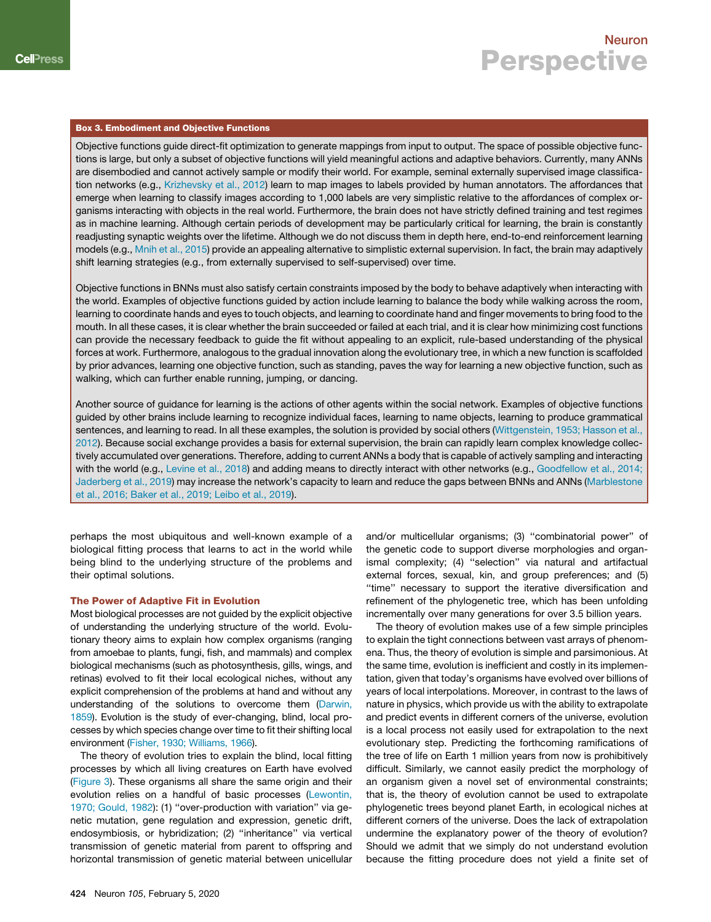### Box 3. Embodiment and Objective Functions

Objective functions guide direct-fit optimization to generate mappings from input to output. The space of possible objective functions is large, but only a subset of objective functions will yield meaningful actions and adaptive behaviors. Currently, many ANNs are disembodied and cannot actively sample or modify their world. For example, seminal externally supervised image classification networks (e.g., Krizhevsky et al., 2012) learn to map images to labels provided by human annotators. The affordances that emerge when learning to classify images according to 1,000 labels are very simplistic relative to the affordances of complex organisms interacting with objects in the real world. Furthermore, the brain does not have strictly defined training and test regimes as in machine learning. Although certain periods of development may be particularly critical for learning, the brain is constantly readjusting synaptic weights over the lifetime. Although we do not discuss them in depth here, end-to-end reinforcement learning models (e.g., Mnih et al., 2015) provide an appealing alternative to simplistic external supervision. In fact, the brain may adaptively shift learning strategies (e.g., from externally supervised to self-supervised) over time.

Objective functions in BNNs must also satisfy certain constraints imposed by the body to behave adaptively when interacting with the world. Examples of objective functions guided by action include learning to balance the body while walking across the room, learning to coordinate hands and eyes to touch objects, and learning to coordinate hand and finger movements to bring food to the mouth. In all these cases, it is clear whether the brain succeeded or failed at each trial, and it is clear how minimizing cost functions can provide the necessary feedback to guide the fit without appealing to an explicit, rule-based understanding of the physical forces at work. Furthermore, analogous to the gradual innovation along the evolutionary tree, in which a new function is scaffolded by prior advances, learning one objective function, such as standing, paves the way for learning a new objective function, such as walking, which can further enable running, jumping, or dancing.

Another source of guidance for learning is the actions of other agents within the social network. Examples of objective functions guided by other brains include learning to recognize individual faces, learning to name objects, learning to produce grammatical sentences, and learning to read. In all these examples, the solution is provided by social others (Wittgenstein, 1953; Hasson et al., 2012). Because social exchange provides a basis for external supervision, the brain can rapidly learn complex knowledge collectively accumulated over generations. Therefore, adding to current ANNs a body that is capable of actively sampling and interacting with the world (e.g., Levine et al., 2018) and adding means to directly interact with other networks (e.g., Goodfellow et al., 2014; Jaderberg et al., 2019) may increase the network's capacity to learn and reduce the gaps between BNNs and ANNs (Marblestone et al., 2016; Baker et al., 2019; Leibo et al., 2019).

perhaps the most ubiquitous and well-known example of a biological fitting process that learns to act in the world while being blind to the underlying structure of the problems and their optimal solutions.

#### The Power of Adaptive Fit in Evolution

Most biological processes are not guided by the explicit objective of understanding the underlying structure of the world. Evolutionary theory aims to explain how complex organisms (ranging from amoebae to plants, fungi, fish, and mammals) and complex biological mechanisms (such as photosynthesis, gills, wings, and retinas) evolved to fit their local ecological niches, without any explicit comprehension of the problems at hand and without any understanding of the solutions to overcome them (Darwin, 1859). Evolution is the study of ever-changing, blind, local processes by which species change over time to fit their shifting local environment (Fisher, 1930; Williams, 1966).

The theory of evolution tries to explain the blind, local fitting processes by which all living creatures on Earth have evolved (Figure 3). These organisms all share the same origin and their evolution relies on a handful of basic processes (Lewontin, 1970; Gould, 1982): (1) ''over-production with variation'' via genetic mutation, gene regulation and expression, genetic drift, endosymbiosis, or hybridization; (2) ''inheritance'' via vertical transmission of genetic material from parent to offspring and horizontal transmission of genetic material between unicellular

and/or multicellular organisms; (3) ''combinatorial power'' of the genetic code to support diverse morphologies and organismal complexity; (4) ''selection'' via natural and artifactual external forces, sexual, kin, and group preferences; and (5) ''time'' necessary to support the iterative diversification and refinement of the phylogenetic tree, which has been unfolding incrementally over many generations for over 3.5 billion years.

The theory of evolution makes use of a few simple principles to explain the tight connections between vast arrays of phenomena. Thus, the theory of evolution is simple and parsimonious. At the same time, evolution is inefficient and costly in its implementation, given that today's organisms have evolved over billions of years of local interpolations. Moreover, in contrast to the laws of nature in physics, which provide us with the ability to extrapolate and predict events in different corners of the universe, evolution is a local process not easily used for extrapolation to the next evolutionary step. Predicting the forthcoming ramifications of the tree of life on Earth 1 million years from now is prohibitively difficult. Similarly, we cannot easily predict the morphology of an organism given a novel set of environmental constraints; that is, the theory of evolution cannot be used to extrapolate phylogenetic trees beyond planet Earth, in ecological niches at different corners of the universe. Does the lack of extrapolation undermine the explanatory power of the theory of evolution? Should we admit that we simply do not understand evolution because the fitting procedure does not yield a finite set of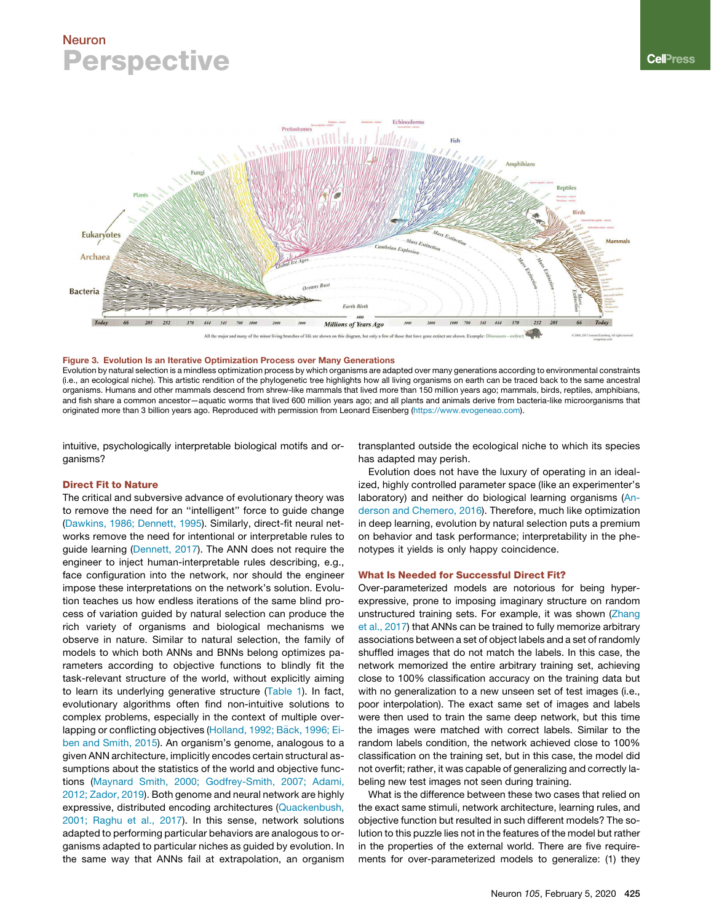

#### Figure 3. Evolution Is an Iterative Optimization Process over Many Generations

Evolution by natural selection is a mindless optimization process by which organisms are adapted over many generations according to environmental constraints (i.e., an ecological niche). This artistic rendition of the phylogenetic tree highlights how all living organisms on earth can be traced back to the same ancestral organisms. Humans and other mammals descend from shrew-like mammals that lived more than 150 million years ago; mammals, birds, reptiles, amphibians, and fish share a common ancestor—aquatic worms that lived 600 million years ago; and all plants and animals derive from bacteria-like microorganisms that originated more than 3 billion years ago. Reproduced with permission from Leonard Eisenberg (https://www.evogeneao.com).

intuitive, psychologically interpretable biological motifs and organisms?

#### Direct Fit to Nature

The critical and subversive advance of evolutionary theory was to remove the need for an ''intelligent'' force to guide change (Dawkins, 1986; Dennett, 1995). Similarly, direct-fit neural networks remove the need for intentional or interpretable rules to guide learning (Dennett, 2017). The ANN does not require the engineer to inject human-interpretable rules describing, e.g., face configuration into the network, nor should the engineer impose these interpretations on the network's solution. Evolution teaches us how endless iterations of the same blind process of variation guided by natural selection can produce the rich variety of organisms and biological mechanisms we observe in nature. Similar to natural selection, the family of models to which both ANNs and BNNs belong optimizes parameters according to objective functions to blindly fit the task-relevant structure of the world, without explicitly aiming to learn its underlying generative structure (Table 1). In fact, evolutionary algorithms often find non-intuitive solutions to complex problems, especially in the context of multiple overlapping or conflicting objectives (Holland, 1992; Bäck, 1996; Eiben and Smith, 2015). An organism's genome, analogous to a given ANN architecture, implicitly encodes certain structural assumptions about the statistics of the world and objective functions (Maynard Smith, 2000; Godfrey-Smith, 2007; Adami, 2012; Zador, 2019). Both genome and neural network are highly expressive, distributed encoding architectures (Quackenbush, 2001; Raghu et al., 2017). In this sense, network solutions adapted to performing particular behaviors are analogous to organisms adapted to particular niches as guided by evolution. In the same way that ANNs fail at extrapolation, an organism transplanted outside the ecological niche to which its species has adapted may perish.

Evolution does not have the luxury of operating in an idealized, highly controlled parameter space (like an experimenter's laboratory) and neither do biological learning organisms (Anderson and Chemero, 2016). Therefore, much like optimization in deep learning, evolution by natural selection puts a premium on behavior and task performance; interpretability in the phenotypes it yields is only happy coincidence.

#### What Is Needed for Successful Direct Fit?

Over-parameterized models are notorious for being hyperexpressive, prone to imposing imaginary structure on random unstructured training sets. For example, it was shown (Zhang et al., 2017) that ANNs can be trained to fully memorize arbitrary associations between a set of object labels and a set of randomly shuffled images that do not match the labels. In this case, the network memorized the entire arbitrary training set, achieving close to 100% classification accuracy on the training data but with no generalization to a new unseen set of test images (i.e., poor interpolation). The exact same set of images and labels were then used to train the same deep network, but this time the images were matched with correct labels. Similar to the random labels condition, the network achieved close to 100% classification on the training set, but in this case, the model did not overfit; rather, it was capable of generalizing and correctly labeling new test images not seen during training.

What is the difference between these two cases that relied on the exact same stimuli, network architecture, learning rules, and objective function but resulted in such different models? The solution to this puzzle lies not in the features of the model but rather in the properties of the external world. There are five requirements for over-parameterized models to generalize: (1) they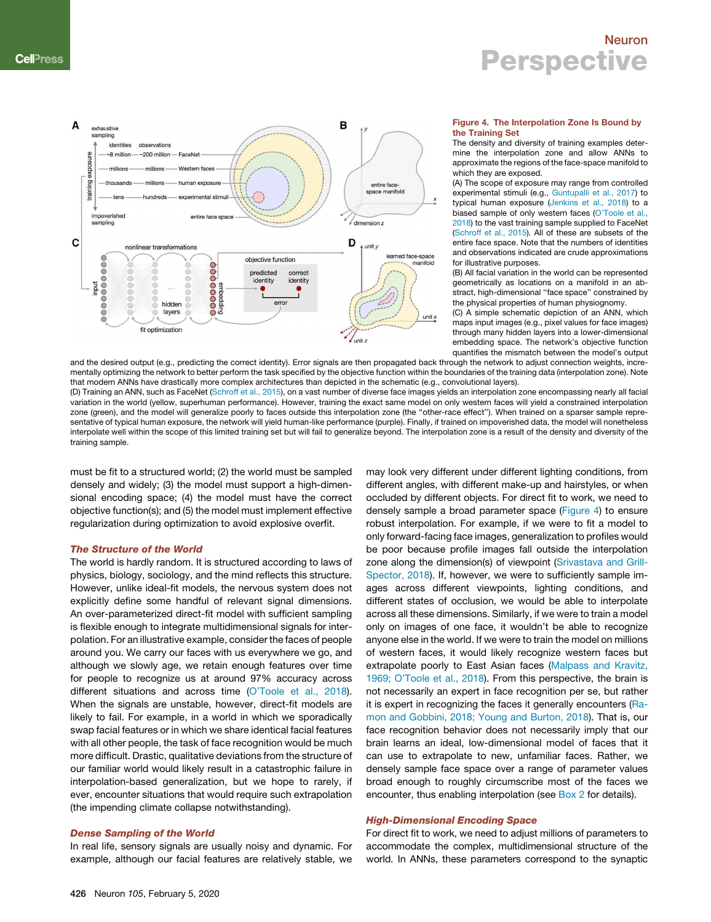

#### Figure 4. The Interpolation Zone Is Bound by the Training Set

The density and diversity of training examples determine the interpolation zone and allow ANNs to approximate the regions of the face-space manifold to which they are exposed.

(A) The scope of exposure may range from controlled experimental stimuli (e.g., Guntupalli et al., 2017) to typical human exposure (Jenkins et al., 2018) to a biased sample of only western faces (O'Toole et al., 2018) to the vast training sample supplied to FaceNet (Schroff et al., 2015). All of these are subsets of the entire face space. Note that the numbers of identities and observations indicated are crude approximations for illustrative purposes.

(B) All facial variation in the world can be represented geometrically as locations on a manifold in an abstract, high-dimensional "face space" constrained by the physical properties of human physiognomy.

(C) A simple schematic depiction of an ANN, which maps input images (e.g., pixel values for face images) through many hidden layers into a lower-dimensional embedding space. The network's objective function quantifies the mismatch between the model's output

and the desired output (e.g., predicting the correct identity). Error signals are then propagated back through the network to adjust connection weights, incrementally optimizing the network to better perform the task specified by the objective function within the boundaries of the training data (interpolation zone). Note that modern ANNs have drastically more complex architectures than depicted in the schematic (e.g., convolutional layers).

(D) Training an ANN, such as FaceNet (Schroff et al., 2015), on a vast number of diverse face images yields an interpolation zone encompassing nearly all facial variation in the world (yellow, superhuman performance). However, training the exact same model on only western faces will yield a constrained interpolation zone (green), and the model will generalize poorly to faces outside this interpolation zone (the ''other-race effect''). When trained on a sparser sample representative of typical human exposure, the network will yield human-like performance (purple). Finally, if trained on impoverished data, the model will nonetheless interpolate well within the scope of this limited training set but will fail to generalize beyond. The interpolation zone is a result of the density and diversity of the training sample.

must be fit to a structured world; (2) the world must be sampled densely and widely; (3) the model must support a high-dimensional encoding space; (4) the model must have the correct objective function(s); and (5) the model must implement effective regularization during optimization to avoid explosive overfit.

## The Structure of the World

The world is hardly random. It is structured according to laws of physics, biology, sociology, and the mind reflects this structure. However, unlike ideal-fit models, the nervous system does not explicitly define some handful of relevant signal dimensions. An over-parameterized direct-fit model with sufficient sampling is flexible enough to integrate multidimensional signals for interpolation. For an illustrative example, consider the faces of people around you. We carry our faces with us everywhere we go, and although we slowly age, we retain enough features over time for people to recognize us at around 97% accuracy across different situations and across time (O'Toole et al., 2018). When the signals are unstable, however, direct-fit models are likely to fail. For example, in a world in which we sporadically swap facial features or in which we share identical facial features with all other people, the task of face recognition would be much more difficult. Drastic, qualitative deviations from the structure of our familiar world would likely result in a catastrophic failure in interpolation-based generalization, but we hope to rarely, if ever, encounter situations that would require such extrapolation (the impending climate collapse notwithstanding).

## Dense Sampling of the World

In real life, sensory signals are usually noisy and dynamic. For example, although our facial features are relatively stable, we

may look very different under different lighting conditions, from different angles, with different make-up and hairstyles, or when occluded by different objects. For direct fit to work, we need to densely sample a broad parameter space (Figure 4) to ensure robust interpolation. For example, if we were to fit a model to only forward-facing face images, generalization to profiles would be poor because profile images fall outside the interpolation zone along the dimension(s) of viewpoint (Srivastava and Grill-Spector, 2018). If, however, we were to sufficiently sample images across different viewpoints, lighting conditions, and different states of occlusion, we would be able to interpolate across all these dimensions. Similarly, if we were to train a model only on images of one face, it wouldn't be able to recognize anyone else in the world. If we were to train the model on millions of western faces, it would likely recognize western faces but extrapolate poorly to East Asian faces (Malpass and Kravitz, 1969; O'Toole et al., 2018). From this perspective, the brain is not necessarily an expert in face recognition per se, but rather it is expert in recognizing the faces it generally encounters (Ramon and Gobbini, 2018; Young and Burton, 2018). That is, our face recognition behavior does not necessarily imply that our brain learns an ideal, low-dimensional model of faces that it can use to extrapolate to new, unfamiliar faces. Rather, we densely sample face space over a range of parameter values broad enough to roughly circumscribe most of the faces we encounter, thus enabling interpolation (see Box 2 for details).

### High-Dimensional Encoding Space

For direct fit to work, we need to adjust millions of parameters to accommodate the complex, multidimensional structure of the world. In ANNs, these parameters correspond to the synaptic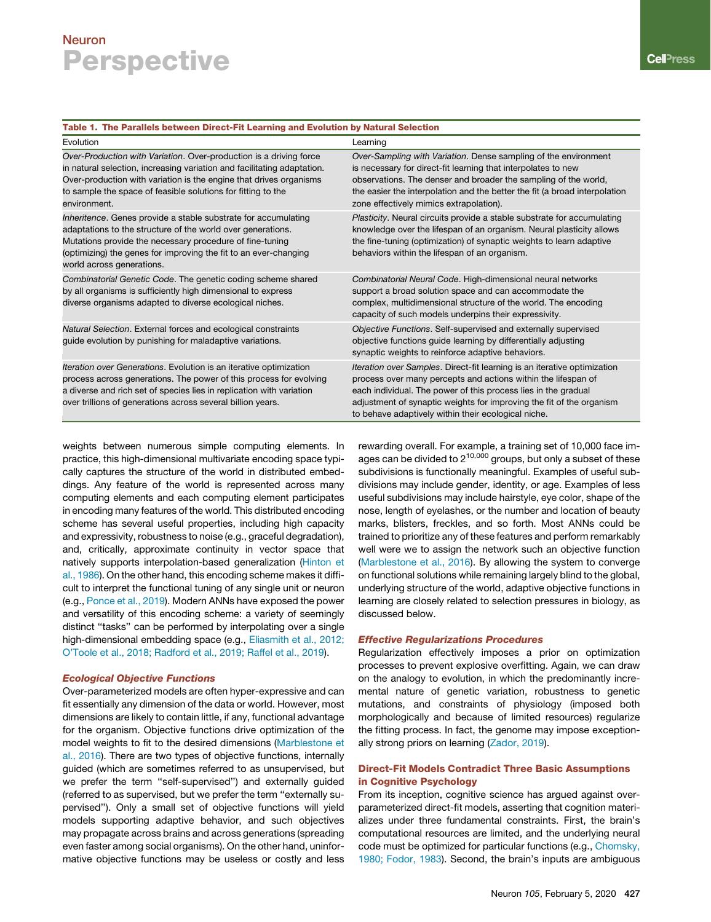## Table 1. The Parallels between Direct-Fit Learning and Evolution by Natural Selection

| Evolution                                                                                                                                                                                                                                                                                           | Learning                                                                                                                                                                                                                                                                                                                                   |
|-----------------------------------------------------------------------------------------------------------------------------------------------------------------------------------------------------------------------------------------------------------------------------------------------------|--------------------------------------------------------------------------------------------------------------------------------------------------------------------------------------------------------------------------------------------------------------------------------------------------------------------------------------------|
| Over-Production with Variation. Over-production is a driving force<br>in natural selection, increasing variation and facilitating adaptation.<br>Over-production with variation is the engine that drives organisms<br>to sample the space of feasible solutions for fitting to the<br>environment. | Over-Sampling with Variation. Dense sampling of the environment<br>is necessary for direct-fit learning that interpolates to new<br>observations. The denser and broader the sampling of the world,<br>the easier the interpolation and the better the fit (a broad interpolation<br>zone effectively mimics extrapolation).               |
| Inheritence. Genes provide a stable substrate for accumulating<br>adaptations to the structure of the world over generations.<br>Mutations provide the necessary procedure of fine-tuning<br>(optimizing) the genes for improving the fit to an ever-changing<br>world across generations.          | Plasticity. Neural circuits provide a stable substrate for accumulating<br>knowledge over the lifespan of an organism. Neural plasticity allows<br>the fine-tuning (optimization) of synaptic weights to learn adaptive<br>behaviors within the lifespan of an organism.                                                                   |
| Combinatorial Genetic Code. The genetic coding scheme shared<br>by all organisms is sufficiently high dimensional to express<br>diverse organisms adapted to diverse ecological niches.                                                                                                             | Combinatorial Neural Code. High-dimensional neural networks<br>support a broad solution space and can accommodate the<br>complex, multidimensional structure of the world. The encoding<br>capacity of such models underpins their expressivity.                                                                                           |
| Natural Selection. External forces and ecological constraints<br>guide evolution by punishing for maladaptive variations.                                                                                                                                                                           | Objective Functions. Self-supervised and externally supervised<br>objective functions guide learning by differentially adjusting<br>synaptic weights to reinforce adaptive behaviors.                                                                                                                                                      |
| Iteration over Generations. Evolution is an iterative optimization<br>process across generations. The power of this process for evolving<br>a diverse and rich set of species lies in replication with variation<br>over trillions of generations across several billion years.                     | Iteration over Samples. Direct-fit learning is an iterative optimization<br>process over many percepts and actions within the lifespan of<br>each individual. The power of this process lies in the gradual<br>adjustment of synaptic weights for improving the fit of the organism<br>to behave adaptively within their ecological niche. |

weights between numerous simple computing elements. In practice, this high-dimensional multivariate encoding space typically captures the structure of the world in distributed embeddings. Any feature of the world is represented across many computing elements and each computing element participates in encoding many features of the world. This distributed encoding scheme has several useful properties, including high capacity and expressivity, robustness to noise (e.g., graceful degradation), and, critically, approximate continuity in vector space that natively supports interpolation-based generalization (Hinton et al., 1986). On the other hand, this encoding scheme makes it difficult to interpret the functional tuning of any single unit or neuron (e.g., Ponce et al., 2019). Modern ANNs have exposed the power and versatility of this encoding scheme: a variety of seemingly distinct ''tasks'' can be performed by interpolating over a single high-dimensional embedding space (e.g., Eliasmith et al., 2012; O'Toole et al., 2018; Radford et al., 2019; Raffel et al., 2019).

### Ecological Objective Functions

Over-parameterized models are often hyper-expressive and can fit essentially any dimension of the data or world. However, most dimensions are likely to contain little, if any, functional advantage for the organism. Objective functions drive optimization of the model weights to fit to the desired dimensions (Marblestone et al., 2016). There are two types of objective functions, internally guided (which are sometimes referred to as unsupervised, but we prefer the term ''self-supervised'') and externally guided (referred to as supervised, but we prefer the term ''externally supervised''). Only a small set of objective functions will yield models supporting adaptive behavior, and such objectives may propagate across brains and across generations (spreading even faster among social organisms). On the other hand, uninformative objective functions may be useless or costly and less

rewarding overall. For example, a training set of 10,000 face images can be divided to  $2^{10,000}$  groups, but only a subset of these subdivisions is functionally meaningful. Examples of useful subdivisions may include gender, identity, or age. Examples of less useful subdivisions may include hairstyle, eye color, shape of the nose, length of eyelashes, or the number and location of beauty marks, blisters, freckles, and so forth. Most ANNs could be trained to prioritize any of these features and perform remarkably well were we to assign the network such an objective function (Marblestone et al., 2016). By allowing the system to converge on functional solutions while remaining largely blind to the global, underlying structure of the world, adaptive objective functions in learning are closely related to selection pressures in biology, as discussed below.

### Effective Regularizations Procedures

Regularization effectively imposes a prior on optimization processes to prevent explosive overfitting. Again, we can draw on the analogy to evolution, in which the predominantly incremental nature of genetic variation, robustness to genetic mutations, and constraints of physiology (imposed both morphologically and because of limited resources) regularize the fitting process. In fact, the genome may impose exceptionally strong priors on learning (Zador, 2019).

## Direct-Fit Models Contradict Three Basic Assumptions in Cognitive Psychology

From its inception, cognitive science has argued against overparameterized direct-fit models, asserting that cognition materializes under three fundamental constraints. First, the brain's computational resources are limited, and the underlying neural code must be optimized for particular functions (e.g., Chomsky, 1980; Fodor, 1983). Second, the brain's inputs are ambiguous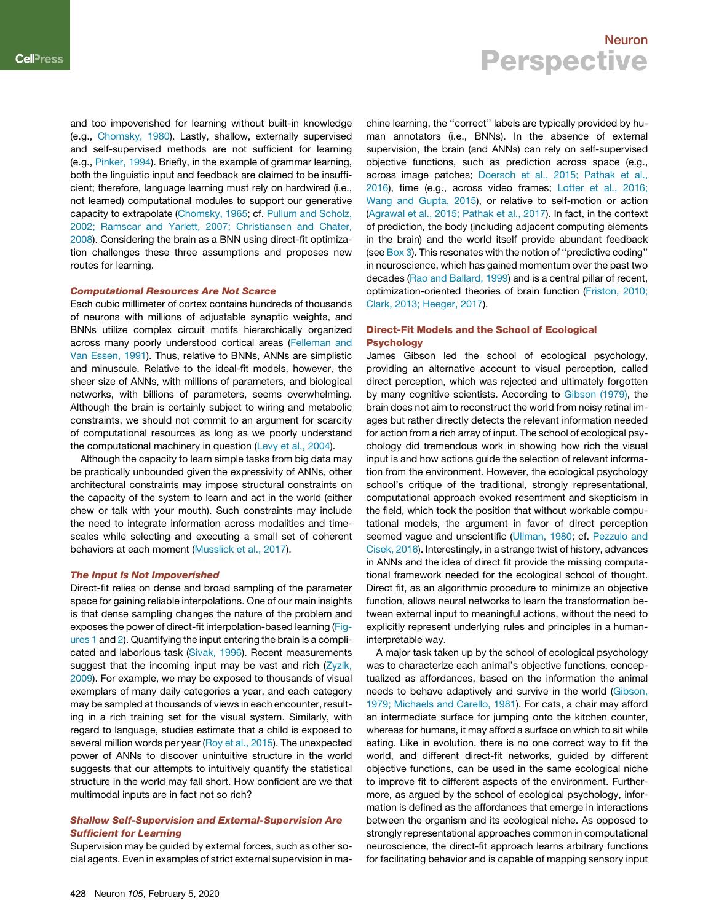and too impoverished for learning without built-in knowledge (e.g., Chomsky, 1980). Lastly, shallow, externally supervised and self-supervised methods are not sufficient for learning (e.g., Pinker, 1994). Briefly, in the example of grammar learning, both the linguistic input and feedback are claimed to be insufficient; therefore, language learning must rely on hardwired (i.e., not learned) computational modules to support our generative capacity to extrapolate (Chomsky, 1965; cf. Pullum and Scholz, 2002; Ramscar and Yarlett, 2007; Christiansen and Chater, 2008). Considering the brain as a BNN using direct-fit optimization challenges these three assumptions and proposes new routes for learning.

### Computational Resources Are Not Scarce

Each cubic millimeter of cortex contains hundreds of thousands of neurons with millions of adjustable synaptic weights, and BNNs utilize complex circuit motifs hierarchically organized across many poorly understood cortical areas (Felleman and Van Essen, 1991). Thus, relative to BNNs, ANNs are simplistic and minuscule. Relative to the ideal-fit models, however, the sheer size of ANNs, with millions of parameters, and biological networks, with billions of parameters, seems overwhelming. Although the brain is certainly subject to wiring and metabolic constraints, we should not commit to an argument for scarcity of computational resources as long as we poorly understand the computational machinery in question (Levy et al., 2004).

Although the capacity to learn simple tasks from big data may be practically unbounded given the expressivity of ANNs, other architectural constraints may impose structural constraints on the capacity of the system to learn and act in the world (either chew or talk with your mouth). Such constraints may include the need to integrate information across modalities and timescales while selecting and executing a small set of coherent behaviors at each moment (Musslick et al., 2017).

#### The Input Is Not Impoverished

Direct-fit relies on dense and broad sampling of the parameter space for gaining reliable interpolations. One of our main insights is that dense sampling changes the nature of the problem and exposes the power of direct-fit interpolation-based learning (Figures 1 and 2). Quantifying the input entering the brain is a complicated and laborious task (Sivak, 1996). Recent measurements suggest that the incoming input may be vast and rich  $(Zyzik,$ 2009). For example, we may be exposed to thousands of visual exemplars of many daily categories a year, and each category may be sampled at thousands of views in each encounter, resulting in a rich training set for the visual system. Similarly, with regard to language, studies estimate that a child is exposed to several million words per year (Roy et al., 2015). The unexpected power of ANNs to discover unintuitive structure in the world suggests that our attempts to intuitively quantify the statistical structure in the world may fall short. How confident are we that multimodal inputs are in fact not so rich?

### Shallow Self-Supervision and External-Supervision Are Sufficient for Learning

Supervision may be guided by external forces, such as other social agents. Even in examples of strict external supervision in machine learning, the ''correct'' labels are typically provided by human annotators (i.e., BNNs). In the absence of external supervision, the brain (and ANNs) can rely on self-supervised objective functions, such as prediction across space (e.g., across image patches; Doersch et al., 2015; Pathak et al., 2016), time (e.g., across video frames; Lotter et al., 2016; Wang and Gupta, 2015), or relative to self-motion or action (Agrawal et al., 2015; Pathak et al., 2017). In fact, in the context of prediction, the body (including adjacent computing elements in the brain) and the world itself provide abundant feedback (see Box 3). This resonates with the notion of "predictive coding" in neuroscience, which has gained momentum over the past two decades (Rao and Ballard, 1999) and is a central pillar of recent, optimization-oriented theories of brain function (Friston, 2010; Clark, 2013; Heeger, 2017).

## Direct-Fit Models and the School of Ecological Psychology

James Gibson led the school of ecological psychology, providing an alternative account to visual perception, called direct perception, which was rejected and ultimately forgotten by many cognitive scientists. According to Gibson (1979), the brain does not aim to reconstruct the world from noisy retinal images but rather directly detects the relevant information needed for action from a rich array of input. The school of ecological psychology did tremendous work in showing how rich the visual input is and how actions guide the selection of relevant information from the environment. However, the ecological psychology school's critique of the traditional, strongly representational, computational approach evoked resentment and skepticism in the field, which took the position that without workable computational models, the argument in favor of direct perception seemed vague and unscientific (Ullman, 1980; cf. Pezzulo and Cisek, 2016). Interestingly, in a strange twist of history, advances in ANNs and the idea of direct fit provide the missing computational framework needed for the ecological school of thought. Direct fit, as an algorithmic procedure to minimize an objective function, allows neural networks to learn the transformation between external input to meaningful actions, without the need to explicitly represent underlying rules and principles in a humaninterpretable way.

A major task taken up by the school of ecological psychology was to characterize each animal's objective functions, conceptualized as affordances, based on the information the animal needs to behave adaptively and survive in the world (Gibson, 1979; Michaels and Carello, 1981). For cats, a chair may afford an intermediate surface for jumping onto the kitchen counter, whereas for humans, it may afford a surface on which to sit while eating. Like in evolution, there is no one correct way to fit the world, and different direct-fit networks, guided by different objective functions, can be used in the same ecological niche to improve fit to different aspects of the environment. Furthermore, as argued by the school of ecological psychology, information is defined as the affordances that emerge in interactions between the organism and its ecological niche. As opposed to strongly representational approaches common in computational neuroscience, the direct-fit approach learns arbitrary functions for facilitating behavior and is capable of mapping sensory input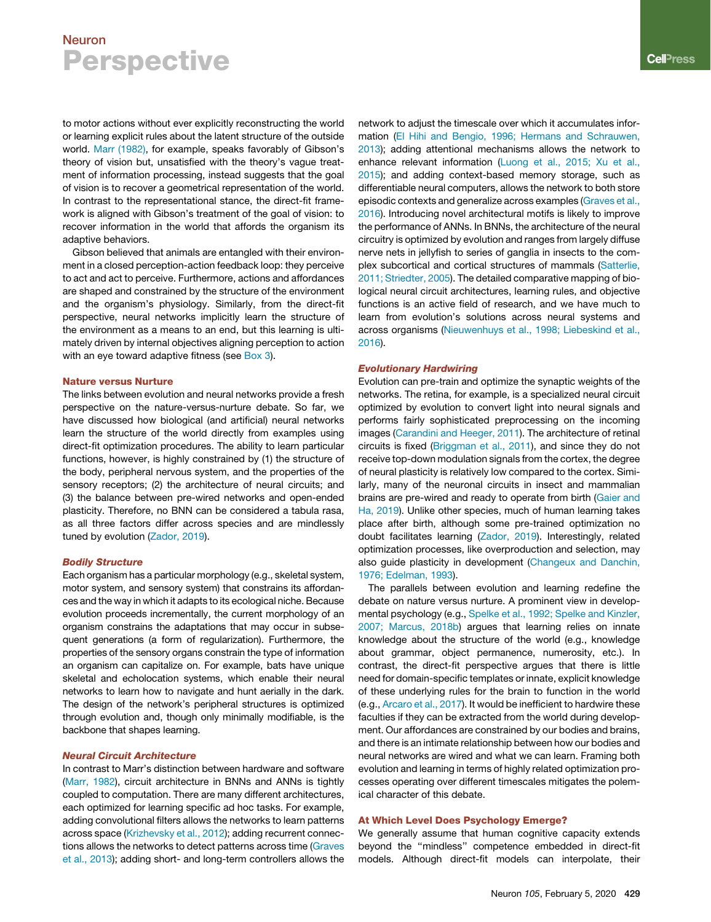to motor actions without ever explicitly reconstructing the world or learning explicit rules about the latent structure of the outside world. Marr (1982), for example, speaks favorably of Gibson's theory of vision but, unsatisfied with the theory's vague treatment of information processing, instead suggests that the goal of vision is to recover a geometrical representation of the world. In contrast to the representational stance, the direct-fit framework is aligned with Gibson's treatment of the goal of vision: to recover information in the world that affords the organism its adaptive behaviors.

Gibson believed that animals are entangled with their environment in a closed perception-action feedback loop: they perceive to act and act to perceive. Furthermore, actions and affordances are shaped and constrained by the structure of the environment and the organism's physiology. Similarly, from the direct-fit perspective, neural networks implicitly learn the structure of the environment as a means to an end, but this learning is ultimately driven by internal objectives aligning perception to action with an eye toward adaptive fitness (see Box 3).

#### Nature versus Nurture

The links between evolution and neural networks provide a fresh perspective on the nature-versus-nurture debate. So far, we have discussed how biological (and artificial) neural networks learn the structure of the world directly from examples using direct-fit optimization procedures. The ability to learn particular functions, however, is highly constrained by (1) the structure of the body, peripheral nervous system, and the properties of the sensory receptors; (2) the architecture of neural circuits; and (3) the balance between pre-wired networks and open-ended plasticity. Therefore, no BNN can be considered a tabula rasa, as all three factors differ across species and are mindlessly tuned by evolution (Zador, 2019).

### Bodily Structure

Each organism has a particular morphology (e.g., skeletal system, motor system, and sensory system) that constrains its affordances and the way in which it adapts to its ecological niche. Because evolution proceeds incrementally, the current morphology of an organism constrains the adaptations that may occur in subsequent generations (a form of regularization). Furthermore, the properties of the sensory organs constrain the type of information an organism can capitalize on. For example, bats have unique skeletal and echolocation systems, which enable their neural networks to learn how to navigate and hunt aerially in the dark. The design of the network's peripheral structures is optimized through evolution and, though only minimally modifiable, is the backbone that shapes learning.

## Neural Circuit Architecture

In contrast to Marr's distinction between hardware and software (Marr, 1982), circuit architecture in BNNs and ANNs is tightly coupled to computation. There are many different architectures, each optimized for learning specific ad hoc tasks. For example, adding convolutional filters allows the networks to learn patterns across space (Krizhevsky et al., 2012); adding recurrent connections allows the networks to detect patterns across time (Graves et al., 2013); adding short- and long-term controllers allows the

network to adjust the timescale over which it accumulates information (El Hihi and Bengio, 1996; Hermans and Schrauwen, 2013); adding attentional mechanisms allows the network to enhance relevant information (Luong et al., 2015; Xu et al., 2015); and adding context-based memory storage, such as differentiable neural computers, allows the network to both store episodic contexts and generalize across examples (Graves et al., 2016). Introducing novel architectural motifs is likely to improve the performance of ANNs. In BNNs, the architecture of the neural circuitry is optimized by evolution and ranges from largely diffuse nerve nets in jellyfish to series of ganglia in insects to the complex subcortical and cortical structures of mammals (Satterlie, 2011; Striedter, 2005). The detailed comparative mapping of biological neural circuit architectures, learning rules, and objective functions is an active field of research, and we have much to learn from evolution's solutions across neural systems and across organisms (Nieuwenhuys et al., 1998; Liebeskind et al., 2016).

#### Evolutionary Hardwiring

Evolution can pre-train and optimize the synaptic weights of the networks. The retina, for example, is a specialized neural circuit optimized by evolution to convert light into neural signals and performs fairly sophisticated preprocessing on the incoming images (Carandini and Heeger, 2011). The architecture of retinal circuits is fixed (Briggman et al., 2011), and since they do not receive top-down modulation signals from the cortex, the degree of neural plasticity is relatively low compared to the cortex. Similarly, many of the neuronal circuits in insect and mammalian brains are pre-wired and ready to operate from birth (Gaier and Ha, 2019). Unlike other species, much of human learning takes place after birth, although some pre-trained optimization no doubt facilitates learning (Zador, 2019). Interestingly, related optimization processes, like overproduction and selection, may also guide plasticity in development (Changeux and Danchin, 1976; Edelman, 1993).

The parallels between evolution and learning redefine the debate on nature versus nurture. A prominent view in developmental psychology (e.g., Spelke et al., 1992; Spelke and Kinzler, 2007; Marcus, 2018b) argues that learning relies on innate knowledge about the structure of the world (e.g., knowledge about grammar, object permanence, numerosity, etc.). In contrast, the direct-fit perspective argues that there is little need for domain-specific templates or innate, explicit knowledge of these underlying rules for the brain to function in the world (e.g., Arcaro et al., 2017). It would be inefficient to hardwire these faculties if they can be extracted from the world during development. Our affordances are constrained by our bodies and brains, and there is an intimate relationship between how our bodies and neural networks are wired and what we can learn. Framing both evolution and learning in terms of highly related optimization processes operating over different timescales mitigates the polemical character of this debate.

## At Which Level Does Psychology Emerge?

We generally assume that human cognitive capacity extends beyond the ''mindless'' competence embedded in direct-fit models. Although direct-fit models can interpolate, their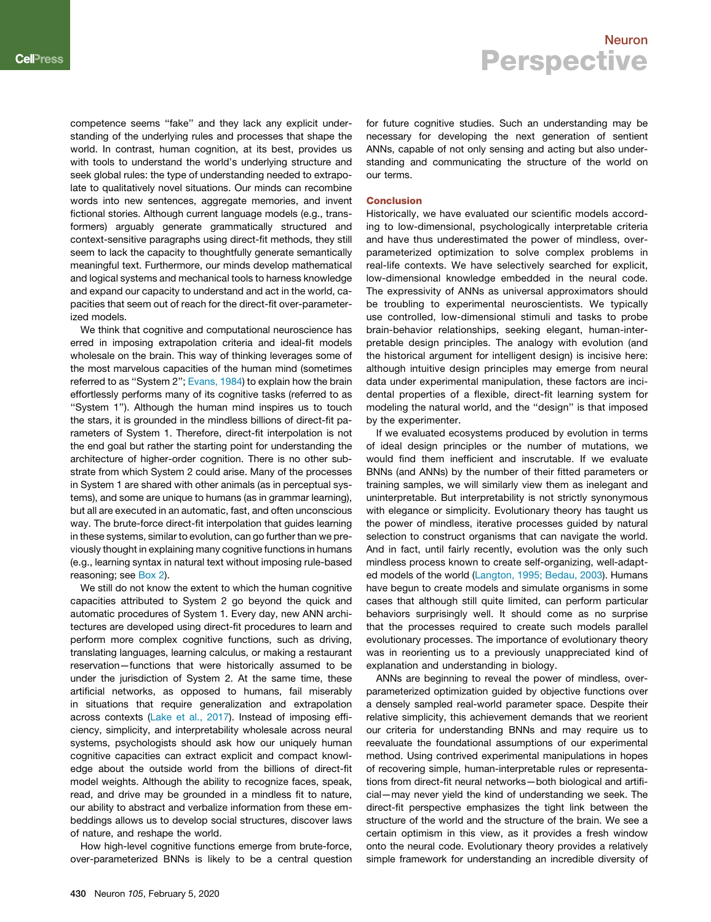competence seems ''fake'' and they lack any explicit understanding of the underlying rules and processes that shape the world. In contrast, human cognition, at its best, provides us with tools to understand the world's underlying structure and seek global rules: the type of understanding needed to extrapolate to qualitatively novel situations. Our minds can recombine words into new sentences, aggregate memories, and invent fictional stories. Although current language models (e.g., transformers) arguably generate grammatically structured and context-sensitive paragraphs using direct-fit methods, they still seem to lack the capacity to thoughtfully generate semantically meaningful text. Furthermore, our minds develop mathematical and logical systems and mechanical tools to harness knowledge and expand our capacity to understand and act in the world, capacities that seem out of reach for the direct-fit over-parameterized models.

We think that cognitive and computational neuroscience has erred in imposing extrapolation criteria and ideal-fit models wholesale on the brain. This way of thinking leverages some of the most marvelous capacities of the human mind (sometimes referred to as "System 2"; Evans, 1984) to explain how the brain effortlessly performs many of its cognitive tasks (referred to as ''System 1''). Although the human mind inspires us to touch the stars, it is grounded in the mindless billions of direct-fit parameters of System 1. Therefore, direct-fit interpolation is not the end goal but rather the starting point for understanding the architecture of higher-order cognition. There is no other substrate from which System 2 could arise. Many of the processes in System 1 are shared with other animals (as in perceptual systems), and some are unique to humans (as in grammar learning), but all are executed in an automatic, fast, and often unconscious way. The brute-force direct-fit interpolation that guides learning in these systems, similar to evolution, can go further than we previously thought in explaining many cognitive functions in humans (e.g., learning syntax in natural text without imposing rule-based reasoning; see Box 2).

We still do not know the extent to which the human cognitive capacities attributed to System 2 go beyond the quick and automatic procedures of System 1. Every day, new ANN architectures are developed using direct-fit procedures to learn and perform more complex cognitive functions, such as driving, translating languages, learning calculus, or making a restaurant reservation—functions that were historically assumed to be under the jurisdiction of System 2. At the same time, these artificial networks, as opposed to humans, fail miserably in situations that require generalization and extrapolation across contexts (Lake et al., 2017). Instead of imposing efficiency, simplicity, and interpretability wholesale across neural systems, psychologists should ask how our uniquely human cognitive capacities can extract explicit and compact knowledge about the outside world from the billions of direct-fit model weights. Although the ability to recognize faces, speak, read, and drive may be grounded in a mindless fit to nature, our ability to abstract and verbalize information from these embeddings allows us to develop social structures, discover laws of nature, and reshape the world.

How high-level cognitive functions emerge from brute-force, over-parameterized BNNs is likely to be a central question for future cognitive studies. Such an understanding may be necessary for developing the next generation of sentient ANNs, capable of not only sensing and acting but also understanding and communicating the structure of the world on our terms.

#### Conclusion

Historically, we have evaluated our scientific models according to low-dimensional, psychologically interpretable criteria and have thus underestimated the power of mindless, overparameterized optimization to solve complex problems in real-life contexts. We have selectively searched for explicit, low-dimensional knowledge embedded in the neural code. The expressivity of ANNs as universal approximators should be troubling to experimental neuroscientists. We typically use controlled, low-dimensional stimuli and tasks to probe brain-behavior relationships, seeking elegant, human-interpretable design principles. The analogy with evolution (and the historical argument for intelligent design) is incisive here: although intuitive design principles may emerge from neural data under experimental manipulation, these factors are incidental properties of a flexible, direct-fit learning system for modeling the natural world, and the ''design'' is that imposed by the experimenter.

If we evaluated ecosystems produced by evolution in terms of ideal design principles or the number of mutations, we would find them inefficient and inscrutable. If we evaluate BNNs (and ANNs) by the number of their fitted parameters or training samples, we will similarly view them as inelegant and uninterpretable. But interpretability is not strictly synonymous with elegance or simplicity. Evolutionary theory has taught us the power of mindless, iterative processes guided by natural selection to construct organisms that can navigate the world. And in fact, until fairly recently, evolution was the only such mindless process known to create self-organizing, well-adapted models of the world (Langton, 1995; Bedau, 2003). Humans have begun to create models and simulate organisms in some cases that although still quite limited, can perform particular behaviors surprisingly well. It should come as no surprise that the processes required to create such models parallel evolutionary processes. The importance of evolutionary theory was in reorienting us to a previously unappreciated kind of explanation and understanding in biology.

ANNs are beginning to reveal the power of mindless, overparameterized optimization guided by objective functions over a densely sampled real-world parameter space. Despite their relative simplicity, this achievement demands that we reorient our criteria for understanding BNNs and may require us to reevaluate the foundational assumptions of our experimental method. Using contrived experimental manipulations in hopes of recovering simple, human-interpretable rules or representations from direct-fit neural networks—both biological and artificial—may never yield the kind of understanding we seek. The direct-fit perspective emphasizes the tight link between the structure of the world and the structure of the brain. We see a certain optimism in this view, as it provides a fresh window onto the neural code. Evolutionary theory provides a relatively simple framework for understanding an incredible diversity of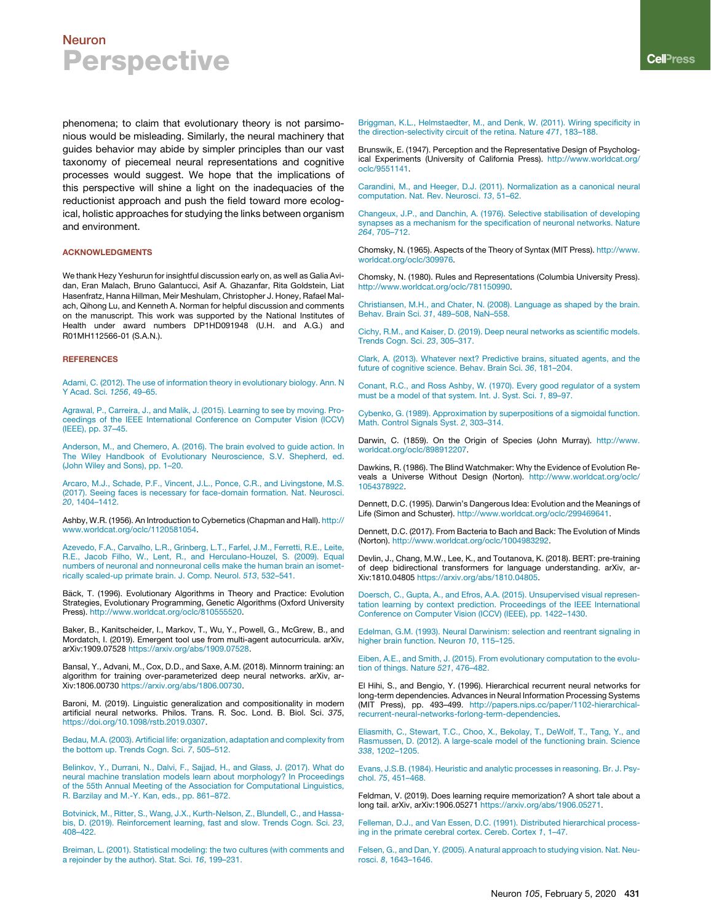phenomena; to claim that evolutionary theory is not parsimonious would be misleading. Similarly, the neural machinery that guides behavior may abide by simpler principles than our vast taxonomy of piecemeal neural representations and cognitive processes would suggest. We hope that the implications of this perspective will shine a light on the inadequacies of the reductionist approach and push the field toward more ecological, holistic approaches for studying the links between organism and environment.

#### ACKNOWLEDGMENTS

We thank Hezy Yeshurun for insightful discussion early on, as well as Galia Avidan, Eran Malach, Bruno Galantucci, Asif A. Ghazanfar, Rita Goldstein, Liat Hasenfratz, Hanna Hillman, Meir Meshulam, Christopher J. Honey, Rafael Malach, Qihong Lu, and Kenneth A. Norman for helpful discussion and comments on the manuscript. This work was supported by the National Institutes of Health under award numbers DP1HD091948 (U.H. and A.G.) and R01MH112566-01 (S.A.N.).

#### **REFERENCES**

Adami, C. (2012). The use of information theory in evolutionary biology. Ann. N Y Acad. Sci. *1256*, 49–65.

Agrawal, P., Carreira, J., and Malik, J. (2015). Learning to see by moving. Proceedings of the IEEE International Conference on Computer Vision (ICCV) (IEEE), pp. 37–45.

Anderson, M., and Chemero, A. (2016). The brain evolved to guide action. In The Wiley Handbook of Evolutionary Neuroscience, S.V. Shepherd, ed. (John Wiley and Sons), pp. 1–20.

Arcaro, M.J., Schade, P.F., Vincent, J.L., Ponce, C.R., and Livingstone, M.S. (2017). Seeing faces is necessary for face-domain formation. Nat. Neurosci. *20*, 1404–1412.

Ashby, W.R. (1956). An Introduction to Cybernetics (Chapman and Hall). http:// www.worldcat.org/oclc/1120581054.

Azevedo, F.A., Carvalho, L.R., Grinberg, L.T., Farfel, J.M., Ferretti, R.E., Leite, R.E., Jacob Filho, W., Lent, R., and Herculano-Houzel, S. (2009). Equal numbers of neuronal and nonneuronal cells make the human brain an isometrically scaled-up primate brain. J. Comp. Neurol. *513*, 532–541.

Bäck, T. (1996). Evolutionary Algorithms in Theory and Practice: Evolution Strategies, Evolutionary Programming, Genetic Algorithms (Oxford University Press). http://www.worldcat.org/oclc/810555520.

Baker, B., Kanitscheider, I., Markov, T., Wu, Y., Powell, G., McGrew, B., and Mordatch, I. (2019). Emergent tool use from multi-agent autocurricula. arXiv, arXiv:1909.07528 https://arxiv.org/abs/1909.07528.

Bansal, Y., Advani, M., Cox, D.D., and Saxe, A.M. (2018). Minnorm training: an algorithm for training over-parameterized deep neural networks. arXiv, ar-Xiv:1806.00730 https://arxiv.org/abs/1806.00730.

Baroni, M. (2019). Linguistic generalization and compositionality in modern artificial neural networks. Philos. Trans. R. Soc. Lond. B. Biol. Sci. *375*, https://doi.org/10.1098/rstb.2019.0307.

Bedau, M.A. (2003). Artificial life: organization, adaptation and complexity from the bottom up. Trends Cogn. Sci. *7*, 505–512.

Belinkov, Y., Durrani, N., Dalvi, F., Sajjad, H., and Glass, J. (2017). What do neural machine translation models learn about morphology? In Proceedings of the 55th Annual Meeting of the Association for Computational Linguistics, R. Barzilay and M.-Y. Kan, eds., pp. 861–872.

Botvinick, M., Ritter, S., Wang, J.X., Kurth-Nelson, Z., Blundell, C., and Hassabis, D. (2019). Reinforcement learning, fast and slow. Trends Cogn. Sci. *23*, 408–422.

Breiman, L. (2001). Statistical modeling: the two cultures (with comments and a rejoinder by the author). Stat. Sci. *16*, 199–231.

Briggman, K.L., Helmstaedter, M., and Denk, W. (2011). Wiring specificity in the direction-selectivity circuit of the retina. Nature *471*, 183–188.

Brunswik, E. (1947). Perception and the Representative Design of Psychological Experiments (University of California Press). http://www.worldcat.org/ oclc/9551141.

Carandini, M., and Heeger, D.J. (2011). Normalization as a canonical neural computation. Nat. Rev. Neurosci. *13*, 51–62.

Changeux, J.P., and Danchin, A. (1976). Selective stabilisation of developing synapses as a mechanism for the specification of neuronal networks. Nature *264*, 705–712.

Chomsky, N. (1965). Aspects of the Theory of Syntax (MIT Press). http://www. worldcat.org/oclc/309976.

Chomsky, N. (1980). Rules and Representations (Columbia University Press). http://www.worldcat.org/oclc/781150990.

Christiansen, M.H., and Chater, N. (2008). Language as shaped by the brain. Behav. Brain Sci. *31*, 489–508, NaN–558.

Cichy, R.M., and Kaiser, D. (2019). Deep neural networks as scientific models. Trends Cogn. Sci. *23*, 305–317.

Clark, A. (2013). Whatever next? Predictive brains, situated agents, and the future of cognitive science. Behav. Brain Sci. *36*, 181–204.

Conant, R.C., and Ross Ashby, W. (1970). Every good regulator of a system must be a model of that system. Int. J. Syst. Sci. *1*, 89–97.

Cybenko, G. (1989). Approximation by superpositions of a sigmoidal function. Math. Control Signals Syst. *2*, 303–314.

Darwin, C. (1859). On the Origin of Species (John Murray). http://www. worldcat.org/oclc/898912207.

Dawkins, R. (1986). The Blind Watchmaker: Why the Evidence of Evolution Reveals a Universe Without Design (Norton). http://www.worldcat.org/oclc/ 1054378922.

Dennett, D.C. (1995). Darwin's Dangerous Idea: Evolution and the Meanings of Life (Simon and Schuster). http://www.worldcat.org/oclc/299469641.

Dennett, D.C. (2017). From Bacteria to Bach and Back: The Evolution of Minds (Norton). http://www.worldcat.org/oclc/1004983292.

Devlin, J., Chang, M.W., Lee, K., and Toutanova, K. (2018). BERT: pre-training of deep bidirectional transformers for language understanding. arXiv, ar-Xiv:1810.04805 https://arxiv.org/abs/1810.04805.

Doersch, C., Gupta, A., and Efros, A.A. (2015). Unsupervised visual representation learning by context prediction. Proceedings of the IEEE International Conference on Computer Vision (ICCV) (IEEE), pp. 1422–1430.

Edelman, G.M. (1993). Neural Darwinism: selection and reentrant signaling in higher brain function. Neuron *10*, 115–125.

Eiben, A.E., and Smith, J. (2015). From evolutionary computation to the evolution of things. Nature *521*, 476–482.

El Hihi, S., and Bengio, Y. (1996). Hierarchical recurrent neural networks for long-term dependencies. Advances in Neural Information Processing Systems (MIT Press), pp. 493–499. http://papers.nips.cc/paper/1102-hierarchicalrecurrent-neural-networks-forlong-term-dependencies.

Eliasmith, C., Stewart, T.C., Choo, X., Bekolay, T., DeWolf, T., Tang, Y., and Rasmussen, D. (2012). A large-scale model of the functioning brain. Science *338*, 1202–1205.

Evans, J.S.B. (1984). Heuristic and analytic processes in reasoning. Br. J. Psychol. *75*, 451–468.

Feldman, V. (2019). Does learning require memorization? A short tale about a long tail. arXiv, arXiv:1906.05271 https://arxiv.org/abs/1906.05271.

Felleman, D.J., and Van Essen, D.C. (1991). Distributed hierarchical processing in the primate cerebral cortex. Cereb. Cortex *1*, 1–47.

Felsen, G., and Dan, Y. (2005). A natural approach to studying vision. Nat. Neurosci. *8*, 1643–1646.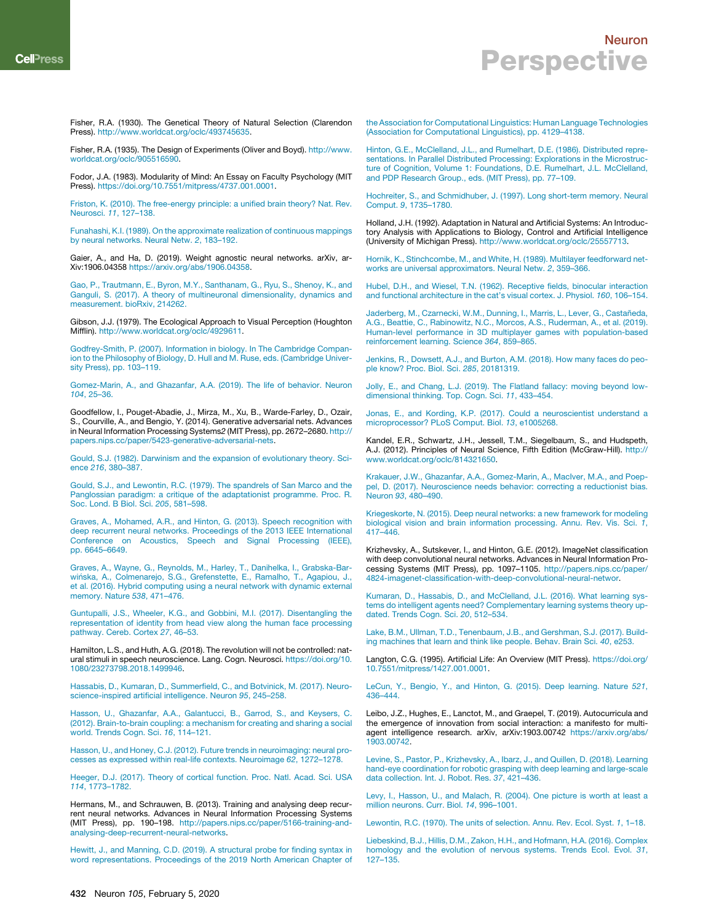Fisher, R.A. (1930). The Genetical Theory of Natural Selection (Clarendon Press). http://www.worldcat.org/oclc/493745635.

Fisher, R.A. (1935). The Design of Experiments (Oliver and Boyd). http://www. worldcat.org/oclc/905516590.

Fodor, J.A. (1983). Modularity of Mind: An Essay on Faculty Psychology (MIT Press). https://doi.org/10.7551/mitpress/4737.001.0001.

Friston, K. (2010). The free-energy principle: a unified brain theory? Nat. Rev. Neurosci. *11*, 127–138.

Funahashi, K.I. (1989). On the approximate realization of continuous mappings by neural networks. Neural Netw. *2*, 183–192.

Gaier, A., and Ha, D. (2019). Weight agnostic neural networks. arXiv, ar-Xiv:1906.04358 https://arxiv.org/abs/1906.04358.

Gao, P., Trautmann, E., Byron, M.Y., Santhanam, G., Ryu, S., Shenoy, K., and Ganguli, S. (2017). A theory of multineuronal dimensionality, dynamics and measurement. bioRxiv, 214262.

Gibson, J.J. (1979). The Ecological Approach to Visual Perception (Houghton Mifflin). http://www.worldcat.org/oclc/4929611.

Godfrey-Smith, P. (2007). Information in biology. In The Cambridge Companion to the Philosophy of Biology, D. Hull and M. Ruse, eds. (Cambridge University Press), pp. 103–119.

Gomez-Marin, A., and Ghazanfar, A.A. (2019). The life of behavior. Neuron *104*, 25–36.

Goodfellow, I., Pouget-Abadie, J., Mirza, M., Xu, B., Warde-Farley, D., Ozair, S., Courville, A., and Bengio, Y. (2014). Generative adversarial nets. Advances in Neural Information Processing Systems*2* (MIT Press), pp. 2672–2680. http:// papers.nips.cc/paper/5423-generative-adversarial-nets.

Gould, S.J. (1982). Darwinism and the expansion of evolutionary theory. Science *216*, 380–387.

Gould, S.J., and Lewontin, R.C. (1979). The spandrels of San Marco and the Panglossian paradigm: a critique of the adaptationist programme. Proc. R. Soc. Lond. B Biol. Sci. *205*, 581–598.

Graves, A., Mohamed, A.R., and Hinton, G. (2013). Speech recognition with deep recurrent neural networks. Proceedings of the 2013 IEEE International Conference on Acoustics, Speech and Signal Processing (IEEE), pp. 6645–6649.

Graves, A., Wayne, G., Reynolds, M., Harley, T., Danihelka, I., Grabska-Barwińska, A., Colmenarejo, S.G., Grefenstette, E., Ramalho, T., Agapiou, J., et al. (2016). Hybrid computing using a neural network with dynamic external memory. Nature *538*, 471–476.

Guntupalli, J.S., Wheeler, K.G., and Gobbini, M.I. (2017). Disentangling the representation of identity from head view along the human face processing pathway. Cereb. Cortex *27*, 46–53.

Hamilton, L.S., and Huth, A.G. (2018). The revolution will not be controlled: natural stimuli in speech neuroscience. Lang. Cogn. Neurosci. https://doi.org/10. 1080/23273798.2018.1499946.

Hassabis, D., Kumaran, D., Summerfield, C., and Botvinick, M. (2017). Neuroscience-inspired artificial intelligence. Neuron *95*, 245–258.

Hasson, U., Ghazanfar, A.A., Galantucci, B., Garrod, S., and Keysers, C. (2012). Brain-to-brain coupling: a mechanism for creating and sharing a social world. Trends Cogn. Sci. *16*, 114–121.

Hasson, U., and Honey, C.J. (2012). Future trends in neuroimaging: neural processes as expressed within real-life contexts. Neuroimage *62*, 1272–1278.

Heeger, D.J. (2017). Theory of cortical function. Proc. Natl. Acad. Sci. USA *114*, 1773–1782.

Hermans, M., and Schrauwen, B. (2013). Training and analysing deep recurrent neural networks. Advances in Neural Information Processing Systems (MIT Press), pp. 190–198. http://papers.nips.cc/paper/5166-training-andanalysing-deep-recurrent-neural-networks.

Hewitt, J., and Manning, C.D. (2019). A structural probe for finding syntax in word representations. Proceedings of the 2019 North American Chapter of the Association for Computational Linguistics: Human Language Technologies (Association for Computational Linguistics), pp. 4129–4138.

Hinton, G.E., McClelland, J.L., and Rumelhart, D.E. (1986). Distributed representations. In Parallel Distributed Processing: Explorations in the Microstructure of Cognition, Volume 1: Foundations, D.E. Rumelhart, J.L. McClelland, and PDP Research Group., eds. (MIT Press), pp. 77–109.

Hochreiter, S., and Schmidhuber, J. (1997). Long short-term memory. Neural Comput. *9*, 1735–1780.

Holland, J.H. (1992). Adaptation in Natural and Artificial Systems: An Introductory Analysis with Applications to Biology, Control and Artificial Intelligence (University of Michigan Press). http://www.worldcat.org/oclc/25557713.

Hornik, K., Stinchcombe, M., and White, H. (1989). Multilayer feedforward networks are universal approximators. Neural Netw. *2*, 359–366.

Hubel, D.H., and Wiesel, T.N. (1962). Receptive fields, binocular interaction and functional architecture in the cat's visual cortex. J. Physiol. *160*, 106–154.

Jaderberg, M., Czarnecki, W.M., Dunning, I., Marris, L., Lever, G., Castañeda, A.G., Beattie, C., Rabinowitz, N.C., Morcos, A.S., Ruderman, A., et al. (2019). Human-level performance in 3D multiplayer games with population-based reinforcement learning. Science *364*, 859–865.

Jenkins, R., Dowsett, A.J., and Burton, A.M. (2018). How many faces do people know? Proc. Biol. Sci. *285*, 20181319.

Jolly, E., and Chang, L.J. (2019). The Flatland fallacy: moving beyond lowdimensional thinking. Top. Cogn. Sci. *11*, 433–454.

Jonas, E., and Kording, K.P. (2017). Could a neuroscientist understand a microprocessor? PLoS Comput. Biol. *13*, e1005268.

Kandel, E.R., Schwartz, J.H., Jessell, T.M., Siegelbaum, S., and Hudspeth, A.J. (2012). Principles of Neural Science, Fifth Edition (McGraw-Hill). http:// www.worldcat.org/oclc/814321650.

Krakauer, J.W., Ghazanfar, A.A., Gomez-Marin, A., MacIver, M.A., and Poeppel, D. (2017). Neuroscience needs behavior: correcting a reductionist bias. Neuron *93*, 480–490.

Kriegeskorte, N. (2015). Deep neural networks: a new framework for modeling biological vision and brain information processing. Annu. Rev. Vis. Sci. *1*, 417–446.

Krizhevsky, A., Sutskever, I., and Hinton, G.E. (2012). ImageNet classification with deep convolutional neural networks. Advances in Neural Information Processing Systems (MIT Press), pp. 1097–1105. http://papers.nips.cc/paper/ 4824-imagenet-classification-with-deep-convolutional-neural-networ.

Kumaran, D., Hassabis, D., and McClelland, J.L. (2016). What learning systems do intelligent agents need? Complementary learning systems theory updated. Trends Cogn. Sci. *20*, 512–534.

Lake, B.M., Ullman, T.D., Tenenbaum, J.B., and Gershman, S.J. (2017). Building machines that learn and think like people. Behav. Brain Sci. *40*, e253.

Langton, C.G. (1995). Artificial Life: An Overview (MIT Press). https://doi.org/ 10.7551/mitpress/1427.001.0001.

LeCun, Y., Bengio, Y., and Hinton, G. (2015). Deep learning. Nature *521*, 436–444.

Leibo, J.Z., Hughes, E., Lanctot, M., and Graepel, T. (2019). Autocurricula and the emergence of innovation from social interaction: a manifesto for multiagent intelligence research. arXiv, arXiv:1903.00742 https://arxiv.org/abs/ 1903.00742.

Levine, S., Pastor, P., Krizhevsky, A., Ibarz, J., and Quillen, D. (2018). Learning hand-eye coordination for robotic grasping with deep learning and large-scale data collection. Int. J. Robot. Res. *37*, 421–436.

Levy, I., Hasson, U., and Malach, R. (2004). One picture is worth at least a million neurons. Curr. Biol. *14*, 996–1001.

Lewontin, R.C. (1970). The units of selection. Annu. Rev. Ecol. Syst. *1*, 1–18.

Liebeskind, B.J., Hillis, D.M., Zakon, H.H., and Hofmann, H.A. (2016). Complex homology and the evolution of nervous systems. Trends Ecol. Evol. *31*, 127–135.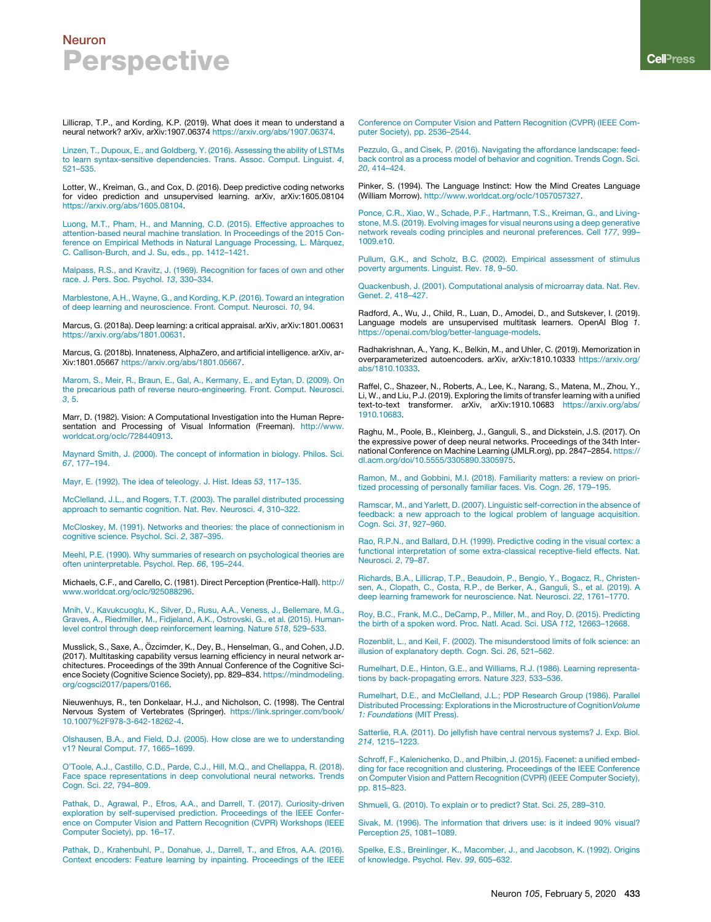Lillicrap, T.P., and Kording, K.P. (2019). What does it mean to understand a neural network? arXiv, arXiv:1907.06374 https://arxiv.org/abs/1907.06374.

Linzen, T., Dupoux, E., and Goldberg, Y. (2016). Assessing the ability of LSTMs to learn syntax-sensitive dependencies. Trans. Assoc. Comput. Linguist. *4*, 521–535.

Lotter, W., Kreiman, G., and Cox, D. (2016). Deep predictive coding networks for video prediction and unsupervised learning. arXiv, arXiv:1605.08104 https://arxiv.org/abs/1605.08104.

Luong, M.T., Pham, H., and Manning, C.D. (2015). Effective approaches to attention-based neural machine translation. In Proceedings of the 2015 Conference on Empirical Methods in Natural Language Processing, L. Màrquez, C. Callison-Burch, and J. Su, eds., pp. 1412–1421.

Malpass, R.S., and Kravitz, J. (1969). Recognition for faces of own and other race. J. Pers. Soc. Psychol. *13*, 330–334.

Marblestone, A.H., Wayne, G., and Kording, K.P. (2016). Toward an integration of deep learning and neuroscience. Front. Comput. Neurosci. *10*, 94.

Marcus, G. (2018a). Deep learning: a critical appraisal. arXiv, arXiv:1801.00631 https://arxiv.org/abs/1801.00631.

Marcus, G. (2018b). Innateness, AlphaZero, and artificial intelligence. arXiv, ar-Xiv:1801.05667 https://arxiv.org/abs/1801.05667.

Marom, S., Meir, R., Braun, E., Gal, A., Kermany, E., and Eytan, D. (2009). On the precarious path of reverse neuro-engineering. Front. Comput. Neurosci. *3*, 5.

Marr, D. (1982). Vision: A Computational Investigation into the Human Representation and Processing of Visual Information (Freeman). http://www. worldcat.org/oclc/728440913.

Maynard Smith, J. (2000). The concept of information in biology. Philos. Sci. *67*, 177–194.

Mayr, E. (1992). The idea of teleology. J. Hist. Ideas *53*, 117–135.

McClelland, J.L., and Rogers, T.T. (2003). The parallel distributed processing approach to semantic cognition. Nat. Rev. Neurosci. *4*, 310–322.

McCloskey, M. (1991). Networks and theories: the place of connectionism in cognitive science. Psychol. Sci. *2*, 387–395.

Meehl, P.E. (1990). Why summaries of research on psychological theories are often uninterpretable. Psychol. Rep. *66*, 195–244.

Michaels, C.F., and Carello, C. (1981). Direct Perception (Prentice-Hall). http:// www.worldcat.org/oclc/925088296.

Mnih, V., Kavukcuoglu, K., Silver, D., Rusu, A.A., Veness, J., Bellemare, M.G., Graves, A., Riedmiller, M., Fidjeland, A.K., Ostrovski, G., et al. (2015). Humanlevel control through deep reinforcement learning. Nature *518*, 529–533.

Musslick, S., Saxe, A., Ozcimder, K., Dey, B., Henselman, G., and Cohen, J.D. (2017). Multitasking capability versus learning efficiency in neural network architectures. Proceedings of the 39th Annual Conference of the Cognitive Science Society (Cognitive Science Society), pp. 829–834. https://mindmodeling. org/cogsci2017/papers/0166.

Nieuwenhuys, R., ten Donkelaar, H.J., and Nicholson, C. (1998). The Central Nervous System of Vertebrates (Springer). https://link.springer.com/book/ 10.1007%2F978-3-642-18262-4.

Olshausen, B.A., and Field, D.J. (2005). How close are we to understanding v1? Neural Comput. *17*, 1665–1699.

O'Toole, A.J., Castillo, C.D., Parde, C.J., Hill, M.Q., and Chellappa, R. (2018). Face space representations in deep convolutional neural networks. Trends Cogn. Sci. *22*, 794–809.

Pathak, D., Agrawal, P., Efros, A.A., and Darrell, T. (2017). Curiosity-driven exploration by self-supervised prediction. Proceedings of the IEEE Conference on Computer Vision and Pattern Recognition (CVPR) Workshops (IEEE Computer Society), pp. 16–17.

Pathak, D., Krahenbuhl, P., Donahue, J., Darrell, T., and Efros, A.A. (2016). Context encoders: Feature learning by inpainting. Proceedings of the IEEE Conference on Computer Vision and Pattern Recognition (CVPR) (IEEE Computer Society), pp. 2536–2544.

Pezzulo, G., and Cisek, P. (2016). Navigating the affordance landscape: feedback control as a process model of behavior and cognition. Trends Cogn. Sci. *20*, 414–424.

Pinker, S. (1994). The Language Instinct: How the Mind Creates Language (William Morrow). http://www.worldcat.org/oclc/1057057327.

Ponce, C.R., Xiao, W., Schade, P.F., Hartmann, T.S., Kreiman, G., and Livingstone, M.S. (2019). Evolving images for visual neurons using a deep generative network reveals coding principles and neuronal preferences. Cell *177*, 999– 1009.e10.

Pullum, G.K., and Scholz, B.C. (2002). Empirical assessment of stimulus poverty arguments. Linguist. Rev. *18*, 9–50.

Quackenbush, J. (2001). Computational analysis of microarray data. Nat. Rev. Genet. *2*, 418–427.

Radford, A., Wu, J., Child, R., Luan, D., Amodei, D., and Sutskever, I. (2019). Language models are unsupervised multitask learners. OpenAI Blog *1*. https://openai.com/blog/better-language-models.

Radhakrishnan, A., Yang, K., Belkin, M., and Uhler, C. (2019). Memorization in overparameterized autoencoders. arXiv, arXiv:1810.10333 https://arxiv.org/ abs/1810.10333.

Raffel, C., Shazeer, N., Roberts, A., Lee, K., Narang, S., Matena, M., Zhou, Y., Li, W., and Liu, P.J. (2019). Exploring the limits of transfer learning with a unified text-to-text transformer. arXiv, arXiv:1910.10683 https://arxiv.org/abs/ 1910.10683.

Raghu, M., Poole, B., Kleinberg, J., Ganguli, S., and Dickstein, J.S. (2017). On the expressive power of deep neural networks. Proceedings of the 34th International Conference on Machine Learning (JMLR.org), pp. 2847–2854. https:// dl.acm.org/doi/10.5555/3305890.3305975.

Ramon, M., and Gobbini, M.I. (2018). Familiarity matters: a review on prioritized processing of personally familiar faces. Vis. Cogn. *26*, 179–195.

Ramscar, M., and Yarlett, D. (2007). Linguistic self-correction in the absence of feedback: a new approach to the logical problem of language acquisition. Cogn. Sci. *31*, 927–960.

Rao, R.P.N., and Ballard, D.H. (1999). Predictive coding in the visual cortex: a functional interpretation of some extra-classical receptive-field effects. Nat. Neurosci. *2*, 79–87.

Richards, B.A., Lillicrap, T.P., Beaudoin, P., Bengio, Y., Bogacz, R., Christensen, A., Clopath, C., Costa, R.P., de Berker, A., Ganguli, S., et al. (2019). A deep learning framework for neuroscience. Nat. Neurosci. *22*, 1761–1770.

Roy, B.C., Frank, M.C., DeCamp, P., Miller, M., and Roy, D. (2015). Predicting the birth of a spoken word. Proc. Natl. Acad. Sci. USA *112*, 12663–12668.

Rozenblit, L., and Keil, F. (2002). The misunderstood limits of folk science: an illusion of explanatory depth. Cogn. Sci. *26*, 521–562.

Rumelhart, D.E., Hinton, G.E., and Williams, R.J. (1986). Learning representations by back-propagating errors. Nature *323*, 533–536.

Rumelhart, D.E., and McClelland, J.L.; PDP Research Group (1986). Parallel Distributed Processing: Explorations in the Microstructure of Cognition*Volume 1: Foundations* (MIT Press).

Satterlie, R.A. (2011). Do jellyfish have central nervous systems? J. Exp. Biol. *214*, 1215–1223.

Schroff, F., Kalenichenko, D., and Philbin, J. (2015). Facenet: a unified embedding for face recognition and clustering. Proceedings of the IEEE Conference on Computer Vision and Pattern Recognition (CVPR) (IEEE Computer Society), pp. 815–823.

Shmueli, G. (2010). To explain or to predict? Stat. Sci. *25*, 289–310.

Sivak, M. (1996). The information that drivers use: is it indeed 90% visual? Perception *25*, 1081–1089.

Spelke, E.S., Breinlinger, K., Macomber, J., and Jacobson, K. (1992). Origins of knowledge. Psychol. Rev. *99*, 605–632.